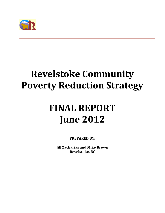

# **Revelstoke Community Poverty Reduction Strategy**

# **FINAL!REPORT June 2012**

**PREPARED BY:** 

**Jill!Zacharias and!Mike!Brown Revelstoke,!BC**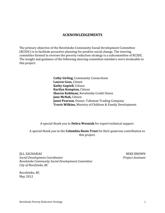### **ACKNOWLEDGEMENTS**

The primary objective of the Revelstoke Community Social Development Committee (RCSDC) is to facilitate proactive planning for positive social change. The steering committee formed to oversee the poverty reduction strategy is a subcommittee of RCSDC. The insight and guidance of the following steering committee members were invaluable to this project:

> **Cathy Girling, Community Connections** Lauren Goss, Citizen **Kathy Guptell, Citizen Karilyn Kempton, Citizen Sharon Kohlman, Revelstoke Credit Union Jane McNab, Citizen Janet Pearson, Owner, Talisman Trading Company Travis Wilkins, Ministry of Children & Family Development**

A special thank you to **Debra Wozniak** for expert technical support.

A special thank you to the **Columbia Basin Trust** for their generous contribution to this project.

IILL ZACHARIAS MIKE BROWN *Social)Development)Coordinator Project)Assistant Revelstoke)Community)Social)Development)Committee City)of)Revelstoke,)BC*

Revelstoke, BC May 2012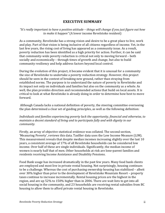## **EXECUTIVE!SUMMARY**

#### *"It's)really)important)to)have)a)positive)attitude)– things)will)change)if)you)just)figure)out)how)* to make it happen" (A lower income Revelstoke resident)

As a community, Revelstoke has a strong vision and desire to be a great place to live, work and play. Part of that vision is being inclusive of all citizens regardless of income. Yet, in the last few years, the rising cost of living has appeared as a community issue. As a result, poverty reduction has been identified as a high priority for action. Further, it can be said that community-wide poverty reduction is critical not only to moving forward – both socially and economically – through times of growth and change, but also to build community resiliency and help address factors beyond local control.

During the evolution of this project, it became evident that it is unusual for a community the size of Revelstoke to undertake a poverty reduction strategy. However, this project should be seen in the context of breaking new ground, rather than straying from established norms. The purpose is to understand the nature of poverty in Revelstoke and its impact not only on individuals and families but also on the community as a whole. As well, the plan provides direction and recommended actions that build on local assets. It is critical to look at what Revelstoke is already doing in order to determine how best to move forward.

Although Canada lacks a national definition of poverty, the steering committee overseeing the plan determined a clear set of guiding principles, as well as the following definition:

Individuals and families experiencing poverty lack the opportunity, financial and otherwise, to *maintain a decent standard of living and to participate fully and with dignity in our community.*

Firstly, an array of objective statistical evidence was collated. The second section, 'Measuring Poverty', reviews this data. Taxfiler data uses the Low Income Measure (LIM). This measurement reveals that despite median incomes increasing slightly over the last 10 years, a consistent average of 17% of all Revelstoke households can be considered low income. Over half of these are single individuals. Significantly, the median income of women is nearly half that of men. Other households at risk are lone-parent families and residents receiving Income Assistance and Disability Pensions.

Food Bank usage has increased dramatically in the past few years. Many food bank clients are employed and most live in private rental housing. Not surprisingly, housing continues to be a challenge. Whereas the cost of purchasing ownership housing has stabilized – albeit over 30% higher than prior to the development of Revelstoke Mountain Resort – property taxes continue to increase incrementally. Rental housing prices are the highest in the region, and are up 52% to 150% higher than in 2006. There are wait lists to get into all social housing in the community, and 23 households are receiving rental subsidies from BC housing to allow them to afford private rental housing in Revelstoke.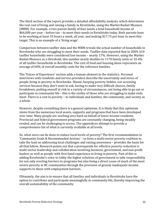The third section of the report provides a detailed affordability analysis, which determines the real cost of living and raising a family in Revelstoke, using the Market Basket Measure (MBM). For example, a two-parent family of four needs a total household income of  $$66,000$  per year – before tax – to meet their needs in Revelstoke today. Both parents have to be working at least 35 hours a week, all year, and making \$17.75 per hour to meet this target. This is an example of a 'living wage'.

Comparison between taxfiler data and the MBM reveals the actual number of households in Revelstoke who are struggling to meet their needs. Taxfiler data reported that in 2009, 610 taxfiler households were considered low income – nearly 17%. However, using the Market Basket Measure as a threshold, this number nearly doubles to 1170 family units or 32.4% of all taxfiler households in Revelstoke. The cost of food and housing alone represents an average of 60% of overall monthly costs for the reference families.

The 'Voices of Experience' section adds a human element to the statistics. Personal interviews with residents and service providers describe the uncertainty and stress of people living in poverty in Revelstoke. Shame, keeping poverty hidden, not accessing services because they don't want to ask, having to make very difficult choices, family breakdown, putting oneself at risk in a variety of circumstances, not being able to go out or participate in community life – this is the reality of those who are struggling to make ends meet. There is a cost to poverty – to individuals and families, the community, and society as a whole.

However, despite everything there is a general optimism. It is likely that this optimism stems from the numerous local assets, supports and programs that have been developed over time. Many people are working very hard on behalf of lower income residents. Provincial and federal government programs are constantly changing, being steadily eroded, and can be challenging to access. The appendices attempt to provide a comprehensive list of what is currently available at all levels.

So, what *more* can be done to reduce local levels of poverty? The first recommendation in 'Community Goals & Recommended Actions' – to form a multi-sector poverty coalition to take the lead on addressing local challenges and raising awareness – provides the basis for all that follow. Research points out that a prerequisite for effective poverty reduction is multi-sector leadership and collaboration involving business, government, and non-profit leaders as well as people with first hand experience in living in poverty. Part of this is adding Revelstoke's voice to lobby the higher echelons of government to take responsibility for not only erecting barriers to programs but also being a direct cause of much of the most severe poverty in BC communities through the provision of grossly inadequate income supports to those with employment barriers.

Ultimately, the aim is to ensure that all families and individuals in Revelstoke have the option to contribute and participate meaningfully in community life, thereby improving the overall sustainability of the community.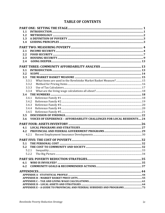# **TABLE OF CONTENTS**

| 1.1                                                                                  |  |
|--------------------------------------------------------------------------------------|--|
| 1.2                                                                                  |  |
| 1.3                                                                                  |  |
| 1.4                                                                                  |  |
|                                                                                      |  |
|                                                                                      |  |
| 2.1                                                                                  |  |
| 2.2<br>2.3                                                                           |  |
| 2.4                                                                                  |  |
|                                                                                      |  |
|                                                                                      |  |
| 3.1                                                                                  |  |
| 3.2                                                                                  |  |
| 3.3                                                                                  |  |
| 3.3.1                                                                                |  |
| 3.3.2                                                                                |  |
| 3.3.3                                                                                |  |
| 3.3.4                                                                                |  |
| 3.4                                                                                  |  |
| 3.4.1                                                                                |  |
| 3.4.2                                                                                |  |
| 3.4.3                                                                                |  |
| 3.4.4                                                                                |  |
| 3.4.5                                                                                |  |
| 3.5                                                                                  |  |
| <b>VOICES OF EXPERIENCE - AFFORDABILITY CHALLENGES FOR LOCAL RESIDENTS 24</b><br>3.6 |  |
|                                                                                      |  |
| 4.1                                                                                  |  |
| 4.2                                                                                  |  |
| 4.2.1                                                                                |  |
|                                                                                      |  |
|                                                                                      |  |
| 5.1                                                                                  |  |
| 5.2                                                                                  |  |
| 5.2.1                                                                                |  |
| 5.2.2                                                                                |  |
|                                                                                      |  |
| 6.1                                                                                  |  |
| 6.2                                                                                  |  |
|                                                                                      |  |
|                                                                                      |  |
|                                                                                      |  |
|                                                                                      |  |
|                                                                                      |  |
| APPENDIX E - A GUIDE TO PROVINCIAL AND FEDERAL SUBSIDIES AND PROGRAMS 73             |  |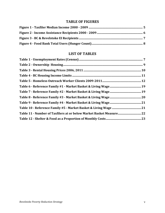## **TABLE!OF FIGURES**

# **LIST!OF!TABLES**

| Table 11 - Number of Taxfilers at or below Market Basket Measure 22 |  |
|---------------------------------------------------------------------|--|
|                                                                     |  |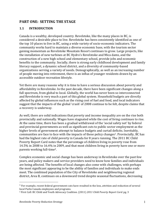## **PART ONE: SETTING THE STAGE**

#### **1.1 INTRODUCTION**

Canada is a wealthy, developed country. Revelstoke, like the many places in BC, is considered a desirable place to live. Revelstoke has been consistently identified as one of the top 10 places to live in BC, using a wide variety of socio-economic indicators. The community works hard to maintain a diverse economic base, with the tourism sector gaining momentum as Revelstoke Mountain Resort continues to grow. Large projects, like the installation of new turbines at BC Hydro's Revelstoke and Mica dams, and the construction of a new high school and elementary school, provide jobs and economic benefits to the community. Socially, there is strong early childhood development and family literacy support, a dynamic school district, and a diversity of community-based organizations serving a variety of needs. Demographically, as well as an increasing number of people moving into retirement, there is an influx of younger residents drawn by an accessible outdoor recreation lifestyle.

Yet there are many reasons why it is time to have a serious discussion about poverty and affordability in Revelstoke. In the past decade, there have been significant changes along a full spectrum, from global to local. Globally, the world has never been so interconnected and Revelstoke is very much a part of this global system. Household budgets are directly affected by global influences such as the rising cost of fuel and food, and local indicators suggest that the impacts of the global 'crash' of 2008 continue to be felt, despite claims that a recovery is underway.

As well, there are solid indications that poverty and income inequality are on the rise both provincially and nationally. Wages have stagnated while the cost of living continues to rise. At the same time, there has been a gradual withdrawal of the 'social safety net' by federal and provincial governments as well as significant cuts to public sector employment as the higher levels of government attempt to balance budgets and curtail deficits. Inevitably, communities are face to face with the impacts of these policy changes<sup>1</sup>. Provincially, BC has had the highest rate of child poverty in Canada for 8 years running. The 2011 BC Child Poverty Report Card notes that the percentage of children living in poverty rose from 14.5% in 2008 to 16.4% in 2009, and that most children living in poverty have one or more parents working full-time<sup>2</sup>.

Complex economic and social change has been underway in Revelstoke over the past few years, and policy makers and service providers need to know how families and individuals are being affected. The benefits of local changes also come with challenges, with perhaps the most significant appearing to be the ability of families and individuals to make ends meet. The combined population of the City of Revelstoke and neighbouring regional district, Area B, continues on a downward trend despite seasonal fluctuations, decreasing

 $1$  For example, recent federal government cuts have resulted in the loss, attrition and reduction of several local Parks Canada employees and programs.

<sup>&</sup>lt;sup>2</sup> First Call: BC Child and Youth Advocacy Coalition. (2011) 2011 Child Poverty Report Card. pg. 3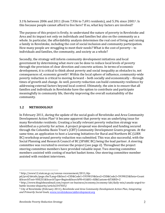3.1% between 2006 and 2011 (from 7,936 to 7,691 residents), and 5.3% since 2001<sup>3</sup>. Is this because people cannot afford to live here? If so, what key factors are involved?

The purpose of this project is firstly, to understand the nature of poverty in Revelstoke and Area and its impact not only on individuals and families but also on the community as a whole. In particular, the affordability analysis determines the real cost of living and raising a family in Revelstoke, including the cost of social inclusion and community participation. How many people are struggling to meet their needs? What is the cost of poverty – to individuals and families, the community, and society as a whole?

Secondly, the strategy will inform community development initiatives and local government by determining what *more* can be done to reduce local levels of poverty through the provision of clear direction and concrete actions. In terms of economic development, it is critical to think about poverty and social inequality as obstacles to, not consequences of, economic growth<sup>4</sup>. Within the local sphere of influence, community-wide poverty reduction is critical to moving forward – both socially and economically – through times of growth and change. As well, poverty reduction can build community resilience by addressing external factors beyond local control. Ultimately, the aim is to ensure that all families and individuals in Revelstoke have the option to contribute and participate meaningfully in community life, thereby improving the overall sustainability of the community.

## **1.2! METHODOLOGY**

In February 2011, during the update of the social goals of Revelstoke and Area Community Development Action Plan<sup>5</sup> it became apparent that poverty was an underlying issue for many Revelstoke residents. Creating a locally relevant poverty reduction strategy was identified as a priority for action. A project proposal was developed and funding secured through the Columbia Basin Trust's (CBT) Community Development Grants program. At the same time, an application to host a Learning Initiatives for Rural and Northern BC (LIRN BC) workshop around poverty reduction was submitted. This was also successful, with the Social Planning and Research Council of BC (SPARC BC) being the lead partner. A steering committee was recruited to oversee the project (see page *ii*). Throughout the project steering committee members have provided valuable input. Two steering committee members assisted with costing of market basket items. One steering committee member assisted with resident interviews.

<sup>!!!!!!!!!!!!!!!!!!!!!!!!!!!!!!!!!!!!!!!!!!!!!!!!!!!!!!!</sup> <sup>3</sup> http://www12.statcan.gc.ca/census-recensement/2011/dp-

pd/prof/details/page.cfm?Lang=E&Geo1=CSD&Code1=5939019&Geo2=CSD&Code2=5939023&Data=Count &SearchText=V0E2S1&SearchType=Begins&SearchPR=01&B1=All&Custom=&TABID=2

<sup>4</sup> http://www.theglobeandmail.com/report-on-business/economy/economy-lab/daily-mix/canada-urged-tobattle-income-disparity/article2347835/

<sup>&</sup>lt;sup>5</sup> City of Revelstoke (February 2011), *Revelstoke and Area Community Development Action Plan, Integrating and)Primarily)Social)Goals*,!www.revelstokesocialdevelopment.org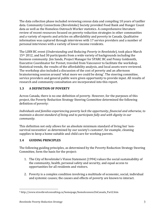The data collection phase included reviewing census data and compiling 10 years of taxfiler data. Community Connections (Revelstoke) Society provided Food Bank and Hunger Count data as well as the Homeless Outreach Worker statistics. A comprehensive literature review of recent resources focused on poverty reduction strategies in other communities and a variety of reports and articles on affordability and poverty in Canada. Qualitative information was captured through interviews with 17 service providers and a number of personal interviews with a variety of lower income residents.

The LIRN BC event (*Understanding and Reducing Poverty in Revelstoke*), took place March  $15<sup>th</sup> 2012$ , and had 30 participants from a wide variety of backgrounds including the business community. Jim Sands, Project Manager for SPARC BC and Penny Goldsmith, Executive Coordinator for Povnet, traveled from Vancouver to facilitate the workshop. Statistical trends, the results of the affordability analysis, and local assets were reviewed. The workshop also included a discussion of the cost of poverty and an afternoon brainstorming session around 'what more we could be doing'. The steering committee, service providers and general public were given opportunity to provide input. All results of research and community consultation are incorporated into this report.

## **1.3 A DEFINITION OF POVERTY**

Across Canada, there is no one definition of poverty. However, for the purposes of this project, the Poverty Reduction Strategy Steering Committee determined the following definition of poverty:

Individuals and families experiencing poverty lack the opportunity, financial and otherwise, to *maintain a decent standard of living and to participate fully and with dignity in our community.*

This definition not only allows for an absolute minimum standard of living but 'nonsurvival necessities' as determined by our society's customs<sup>6</sup>, for example, cleaning supplies to keep a home suitable and child care for working parents.

## **1.4 GUIDING!PRINCIPLES**

The following guiding principles, as determined by the Poverty Reduction Strategy Steering Committee, form the basis for the project:

- 1. The City of Revelstoke's Vision Statement (1994) values the social sustainability of the community, health, personal safety and security, and equal access to opportunities for all residents and visitors.
- 2. Poverty is a complex condition involving a multitude of economic, social, individual and systemic causes; the causes and effects of poverty are known to interact.

<sup>!!!!!!!!!!!!!!!!!!!!!!!!!!!!!!!!!!!!!!!!!!!!!!!!!!!!!!!</sup> <sup>6</sup> http://www.streetlevelconsulting.ca/homepage/homelessness2InCanada\_Part2.htm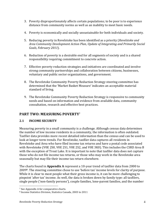- 3. Poverty disproportionately affects certain populations; to be poor is to experience distance from community norms as well as an inability to meet basic needs.
- 4. Poverty is economically and socially unsustainable for both individuals and society.
- 5. Reducing poverty in Revelstoke has been identified as a priority (*Revelstoke and*) Area Community Development Action Plan, Update of Integrating and Primarily Social *Goals,)February)2011*).
- 6. Reduction of poverty is a desirable end for all segments of society and is a shared responsibility requiring commitment to concrete action.
- 7. Effective poverty reduction strategies and initiatives are coordinated and involve strong community partnerships and collaboration between citizens, businesses, voluntary and public sector organizations, and government.
- 8. The Revelstoke Community Poverty Reduction Strategy steering committee has determined that the 'Market Basket Measure' indicates an acceptable material standard of living.
- 9. The Revelstoke Community Poverty Reduction Strategy is responsive to community needs and based on information and evidence from available data, community consultation, research and effective best practices.

# **PART TWO: MEASURING POVERTY<sup>7</sup>**

## **2.1 INCOME SECURITY**

Measuring poverty in a small community is a challenge. Although census data determines the number of low income residents in a community, the information is often outdated. Taxfiler data provides more recent detailed information than the census and can be used to look at longer-term trends. For Revelstoke, taxfiler data captures all residents in Revelstoke and Area who have filed income tax returns and have a postal code associated with Revelstoke (V0E 2S0, V0E 2S1, V0E 2S2, and V0E 3K0). This includes the CSRD Area B with the exception of Trout Lake. It is important to note that taxfiler data does not capture those who do not file income tax returns, or those who may work in the Revelstoke area seasonally but may file their income tax return elsewhere.

The charts found in **Appendix A** represent a 10-year trend of taxfiler data from 2000 to 20098. The steering committee chose to use 'before tax' income levels for clarity of purpose. While it is clear to most people what their gross income is, it can be more challenging to pinpoint 'after tax' income. As well, the data is broken down by family type: all taxfilers, single people ('non-family persons'), couple families, lone-parent families, and the number

<sup>&</sup>lt;sup>7</sup> See Appendix A for comparative charts.

<sup>8</sup> Income Statistics Division, Statistics Canada, 2003 to 2011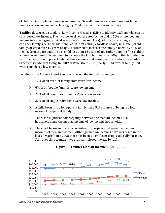of children in couple vs. lone-parent families. Overall numbers are compared with the number of low income in each category. Median incomes are also compared.

**Taxfiler data** uses a standard 'Low Income Measure' (LIM) to identify taxfilers who can be considered low income. The income level represented by the LIM is 50% of the median income in a given geographical area (Revelstoke and Area), adjusted accordingly to consider family size. Each additional adult, first child (regardless of age) in a lone-parent family, or child over 15 years of age, is assumed to increase the family's needs by 40% of the needs of the first adult. Each child less than 16 years of age (other than the first child in a lone-parent family) is assumed to increase the family's needs by 30% of the first adult. As with the definition of poverty above, this assumes that being poor is relative to Canada's expected standard of living. In 2009 in Revelstoke, 610 (nearly 17%) taxfiler family units were considered low income.

Looking at the 10-year trend, the charts reveal the following averages:

- $\geq 17\%$  of all tax filer family units were low income.
- $\geq 6\%$  of all 'couple families' were low income.
- $\geq$  25% of all 'lone-parent families' were low income.
- $\geq$  27% of all single individuals were low income.
- $\triangleright$  A child born into a lone-parent family has a 51% chance of being in a low income lone-parent family.
- $\triangleright$  There is a significant discrepancy between the median incomes of all households, and the median income of low income households.
- $\triangleright$  The chart below indicates a consistent discrepancy between the median incomes of men and women. Although median incomes have increased in the last 10 years, since 2008 there has been a significant drop, especially for men. Still, over time women have gradually closed the gap by  $11\%$ .



**Figure 1 - Taxfiler Median Income 2000 - 2009**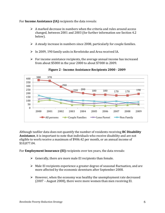#### For **Income Assistance (IA)** recipients the data reveals:

- $\triangleright$  A marked decrease in numbers when the criteria and rules around access  $\triangleright$ changed, between 2001 and 2003 (for further information see Section 4.2 below).
- $\triangleright$  A steady increase in numbers since 2008, particularly for couple families.
- $\triangleright$  In 2009, 190 family units in Revelstoke and Area received IA.
- $\triangleright$  For income assistance recipients, the average annual income has increased from about  $$5000$  in the year 2000 to about  $$7000$  in 2009.



**Figure 2 - Income Assistance Recipients 2000 - 2009** 

Although taxfiler data does not quantify the number of residents receiving **BC Disability Assistance**, it is important to note that individuals who receive disability and are not eligible to work receive a maximum of \$906.42 per month, or an annual income of \$10,877.04.

For **Employment Insurance (EI)** recipients over ten years, the data reveals:

- $\triangleright$  Generally, there are more male EI recipients than female.
- $\triangleright$  Male EI recipients experience a greater degree of seasonal fluctuation, and are more affected by the economic downturn after September 2008.
- $\triangleright$  However, when the economy was healthy the unemployment rate decreased  $(2007 - August 2008)$ , there were more women than men receiving EI.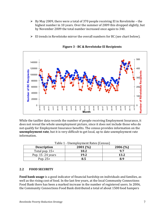- $\triangleright$  By May 2009, there were a total of 370 people receiving EI in Revelstoke the highest number in 10 years. Over the summer of 2009 this dropped slightly, but by November 2009 the total number increased once again to 340.
- $\triangleright$  EI trends in Revelstoke mirror the overall numbers for BC (see chart below).



**Figure 3 - BC & Revelstoke EI Recipients** 

While the taxfiler data records the number of people receiving Employment Insurance, it does not reveal the whole unemployment picture, since it does not include those who do not qualify for Employment Insurance benefits. The census provides information on the **unemployment rate**, but it is very difficult to get local, up to date unemployment rate information.

| <b>Description</b>   | 2001(%)     | 2006(%) |
|----------------------|-------------|---------|
| Total pop. $15+$     | <b>10.2</b> | 97      |
| Pop. $15 - 24$ years | 19.2        | 13.2    |
| Pop. $25+$           | 8.5         | 8.9     |

 $H_{\text{in}}$  and  $I_{\text{in}}$   $\left(\frac{1}{2}$   $\frac{1}{2}$   $\frac{1}{2}$   $\frac{1}{2}$   $\frac{1}{2}$   $\frac{1}{2}$   $\frac{1}{2}$   $\frac{1}{2}$   $\frac{1}{2}$   $\frac{1}{2}$   $\frac{1}{2}$   $\frac{1}{2}$   $\frac{1}{2}$   $\frac{1}{2}$   $\frac{1}{2}$   $\frac{1}{2}$   $\frac{1}{2}$   $\frac{1}{2}$   $\frac{1}{2}$   $\frac{1$ 

#### **2.2 FOOD!SECURITY**

**Food bank usage** is a good indicator of financial hardship on individuals and families, as well as the rising cost of food. In the last few years, at the local Community Connections Food Bank there has been a marked increase in the number of registered users. In 2006, the Community Connections Food Bank distributed a total of about 1500 food hampers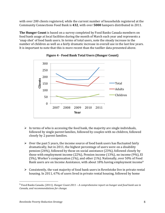with over 200 clients registered, while the current number of households registered at the Community Connections Food Bank is 432, with over 5000 hampers distributed in 2011.

**The Hunger Count** is based on a survey completed by Food Banks Canada members on food bank usage at local facilities during the month of March each year and represents a 'snap shot' of food bank users. In terms of total users, note the steady increase in the number of children as well as a fairly dramatic increase in overall use in the last few years. It is important to note that this is more recent than the taxfiler data presented above.





- $\triangleright$  In terms of who is accessing the food bank, the majority are single individuals, followed by single parent families, followed by couples with no children, followed closely by 2 parent families.
- $\triangleright$  Over the past 5 years, the income source of food bank users has fluctuated fairly dramatically, but in 2011, the highest percentage of users were on a disability pension (26%), followed by those on social assistance (23%), followed closely by those with employment income (22%), Pension income (13%), no income (9%), EI (5%), Worker's compensation (1%), and other (1%). Nationally, over 50% of Food Bank users are on Income Assistance, with about 18% having employment income<sup>9</sup>
- $\triangleright$  Consistently, the vast majority of food bank users in Revelstoke live in private rental housing. In 2011, 67% of users lived in private rental housing, followed by home

<sup>9</sup> Food Banks Canada. (2011). *Hunger Count 2011 – A comprehensive report on hunger and food bank use in Canada, and recommendations for change.*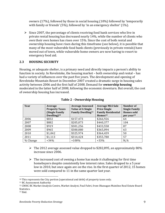owners (17%), followed by those in social housing (10%) followed by 'temporarily with family or friends' (5%), followed by 'in an emergency shelter' (1%).

 $\triangleright$  Since 2007, the percentage of clients receiving food bank services who live in private rental housing has decreased nearly 14%, while the number of clients who own their own homes has risen over 15%. Since the cost of both rental and ownership housing have risen during this timeframe (see below), it is possible that many of the most vulnerable food bank clients (previously in private rentals) have moved out of town, while vulnerable home owners are now having to resort to emergency food aid.

#### **2.3 HOUSING SECURITY**

Housing, or adequate shelter, is a primary need and directly impacts a person's ability to function in society. In Revelstoke, the housing market – both ownership and rental – has had a variety of influences over the past five years. The development and opening of Revelstoke Mountain Resort in December 2007 created a dramatic surge in housing sales activity between 2006 and the first half of 2008. Demand for **ownership housing** moderated in the latter half of 2008, following the economic downturn. But overall, the cost of ownership housing has increased.

| Year     | Average<br><b>Property Taxes</b><br>(Single Family<br>Dwelling) <sup>10</sup> | <b>Average Assessed</b><br><b>Value of A Single</b><br><b>Family Dwelling</b> <sup>11</sup> | <b>Average MLS Sale</b><br><b>Price Single</b><br><b>Family Residential</b><br>Homes <sup>12</sup> | <b>Number of</b><br><b>Single Family</b><br><b>Homes</b> sold<br>per year <sup>13</sup> |
|----------|-------------------------------------------------------------------------------|---------------------------------------------------------------------------------------------|----------------------------------------------------------------------------------------------------|-----------------------------------------------------------------------------------------|
| 2006     | \$832                                                                         | \$157,473                                                                                   | \$266,926                                                                                          | 64                                                                                      |
| 2007     | \$882                                                                         | \$205,073                                                                                   | \$440,377                                                                                          | 104                                                                                     |
| 2008     | \$919                                                                         | \$301,256                                                                                   | \$433,558                                                                                          | 87                                                                                      |
| 2009     | \$965                                                                         | \$300,080                                                                                   | \$365,094                                                                                          | 63                                                                                      |
| 2010     | \$1,042                                                                       | \$325,974                                                                                   | \$364,459                                                                                          | 50                                                                                      |
| 2011     | \$1,113                                                                       | \$314,424                                                                                   | \$355,780                                                                                          | 57                                                                                      |
| % Change | $+34%$                                                                        | $+100%$                                                                                     | $+33%$                                                                                             | N/A                                                                                     |

#### **Table 2 - Ownership Housing**

- $\triangleright$  The 2012 average assessed value dropped to \$282,895, an approximately 80% increase since 2006.
- $\triangleright$  The increased cost of owning a home has made it challenging for first time homebuyers despite consistently low interest rates. Sales dropped to a 5 year low in 2010, but once again are on the rise. In the first quarter of 2012, 15 homes were sold compared to 11 in the same quarter last year.

 $10$  This represents the City portion (operational and debt) of property taxes only.

<sup>&</sup>lt;sup>11</sup> BC Assessment Authority

<sup>&</sup>lt;sup>12</sup> CMHC BC Market Analysis Centre, Market Analyst, Paul Fabri, from Okanagan Mainline Real Estate Board Statistics.

<sup>13</sup> Ibid.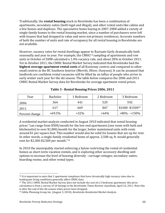Traditionally, the **rental housing** stock in Revelstoke has been a combination of apartments, secondary suites (both legal and illegal), and other rental units like cabins and a few homes and duplexes. The speculative home buying in 2007-2008 added a variety of single-family homes to the rental housing market, since a number of purchasers were left with houses that had dropped in value and were not primary residences. Accurate numbers of both the number of units and rate of occupancy for all rental housing in Revelstoke are not available.

However, vacancy rates for rental dwellings appear to fluctuate fairly dramatically both seasonally and year to year. For example, the CMHC<sup>14</sup> sampling of apartments and row units in October of 2008 calculated a 1.4% vacancy rate, and about 28% in October 2011. Yet in October 2011, the CMHC Rental Market Survey indicated that Revelstoke had the **highest average apartment rental costs** of all Kootenay centres and compared to other small centres in the BC Southern Interior (Merritt, Oliver, Osoyoos). It can be assumed that landlords are confident rental vacancies will be filled by an influx of people who arrive in early winter each year for the ski season. The table below compares the 2006 and 2011 CMHC Rental Market Survey data for Revelstoke for average apartment rental prices.

| Year           | <b>Bachelor</b> | 1 Bedroom | 2 Bedroom | 3 Bedroom            |
|----------------|-----------------|-----------|-----------|----------------------|
| 2006           | 364             | 441       | 529       | 592                  |
| 2011           | 617             | 669       | 867       | $$1000 - $1500^{15}$ |
| Percent change | $+69.5%$        | $+52%$    | $+64%$    | $+80\% - +150\%$     |

**Table 3 - Rental Housing Prices 2006, 2011** 

A residential market analysis conducted in August 2010 indicated that rental housing prices "can range from \$500/month for the low end apartments (one room with bath and kitchenette) to over \$1,000/month for the larger, better maintained units with rents around \$1 per square foot. This number would also be valid for houses that are up for rent. In other words, a single-family residential home of approx. 2,500 sq. ft. would generally rent for \$2,300-\$2,500 per month."<sup>16</sup>

In 2010 the municipality started enforcing a bylaw restricting the rental of residential homes as short-term vacation rentals, and is exploring other accessory dwelling unit options to increase the level of housing diversity - carriage cottages; secondary suites; boarding rooms; and other rental types.

 $14$  It is important to note that 2 apartment complexes that have chronically high vacancy rates due to inadequate living conditions generally affect CMHC data.

<sup>&</sup>lt;sup>15</sup> The 2011 CMHC Rental Market Survey does not include the cost of a 3 bedroom apartment; this price calculation is from a survey of 10 listings in the Revelstoke Times Review classifieds, April 23, 2011. Note this is after the end of the ski season when prices have dropped.

<sup>&</sup>lt;sup>16</sup> Gibbs Planning Group Inc. (August 3, 2010), *Revelstoke Residential Market Analysis.*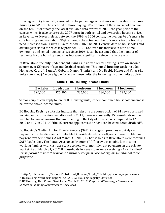Housing security is usually assessed by the percentage of residents or households in **'core housing need'**, which is defined as those paying 30% or more of their household income on shelter. Unfortunately, the latest available data for this is 2005, the year prior to the census, which is also prior to the 2007 surge in both rental and ownership housing prices in Revelstoke. Nevertheless, between the 1996 to 2006 census, the average % of renters in core housing need was about 36%, although the actual number of renters in core housing need increased from 130 in 1996 to 246 in 2006. The 2011 census data on households and dwellings in slated for release September 19, 2012. Given the increase in both home ownership and rental housing prices since 2006, it can be assumed that the number of residents in core housing needs has increased significantly since the last census.

In Revelstoke, the only (independent living) subsidized rental housing is for low income seniors over 55 years of age and disabled residents. This **social housing** stock includes Monashee Court (45 units), Moberly Manor (8 units), and Mt. Begbie Manor and Villas (41 units combined). To be eligible for any of these units, the following income limits apply<sup>17</sup>:

**Table 4 - BC Housing Income Limits** 

| <b>Bachelor</b> | 1 bedroom | 2 bedroom | 3 bedroom | 4 bedroom |
|-----------------|-----------|-----------|-----------|-----------|
| \$20,000        | \$26,500  | \$35,000  | \$36,000  | \$39,000  |

Senior couples can apply to live in BC Housing units, if their combined household income is below the above income limits.

BC Housing Registry statistics indicate that, despite the construction of 24 new subsidized housing units for seniors and disabled in 2011, there are currently 15 households on the wait list for social housing that are residing in the City of Revelstoke, compared to 12 in 2010 and 17 in 2011. Of the 15 current applicants, 8 or 53% can be considered disabled<sup>18</sup>.

BC Housing's Shelter Aid for Elderly Renters (SAFER) program provides monthly cash payments to subsidize rents for eligible BC residents who are 60 years of age or older and pay rent for their homes. As of March 31, 2012, 17 households in Revelstoke were receiving SAFER subsidies. The Rental Assistance Program (RAP) provides eligible low income, working families with cash assistance to help with monthly rent payments in the private market. As of March 31, 2012, 8 households in Revelstoke were receiving RAP subsidies<sup>19</sup>. It is important to note that Income Assistance recipients are not eligible for either of these *programs.*

<sup>17</sup> http://bchousing.org/Options/Subsidized\_Housing/Apply/Eligibility/Income\_requirements <sup>18</sup> BC Housing: WebFocus Report HCSTAT002: Housing Registry Statistics

<sup>&</sup>lt;sup>19</sup> BC Housing: Unit Count Pivot Table, March 31, 2012. *Prepared BC Housing's Research and Corporate Planning Department in April 2012*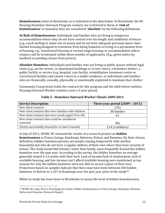**Homelessness** exists in Revelstoke as is indicated in the data below. In Revelstoke, the BC Housing Homeless Outreach Program contacts are restricted to those at 'risk of **homelessness'** or homeless who are considered **'absolute'** by the following definitions:

At Risk of Homelessness: Individuals and families who are living in temporary accommodation where they do not have control over the length and conditions of tenure (e.g. couch surfing or name not on lease) and do not have adequate personal space; timelimited housing designed to transition from being homeless to living in a permanent form of housing, e.g., transitional housing or second-stage housing; or accommodation where tenancy will be terminated within three months of application. (E.g.; given notice by landlord or pending release from prison).

Absolute Homeless: Individuals and families who are living in public spaces without legal claim (e.g., on the streets, in abandoned buildings or in tent cities); a homeless shelter; a public facility or service (e.g. hospital, care facility, rehabilitation treatment centre or correctional facility) and cannot return to a stable residence; or individuals and families who are financially, sexually, physically or emotionally exploited to maintain their shelter.

Community Connections holds the contract for this program and the table below outlines Housing Outreach Worker statistics over a 3-year period.

| <b>Service Description</b>                           | Three year period $(2009 - 2011)$ |
|------------------------------------------------------|-----------------------------------|
| New client contacts                                  | $170+$                            |
| New client contacts that were families with children | 38 families                       |
| New client contacts that were youth (aged 19 to 30)  |                                   |
| New client contacts that could be considered         |                                   |
| transient                                            | 8%                                |
| Clients successfully housed for at least 6 months    | 114 (+children)                   |

**Table 5 - Homeless Outreach Worker Clients 2009-2011** 

In July of 2011, SPARC BC released the results of a research project on **hidden homelessness** in Prince George, Kamloops, Kelowna, Nelson and Nanaimo. By their chosen definition, hidden homeless persons are people staying temporarily with another household and who do not have a regular address of their own where they have security of tenure. The study found that friends, rather than family, most frequently housed the hidden homeless over the past year. According to the survey, the hidden homeless on average generally stayed 6-12 weeks with their host. Lack of income/lack of employment, lack of available housing, and low income/can't afford available housing were mentioned as top reasons for why the hidden homeless were not able to secure a place of their own. Projections based on samples indicate that there may have been between 306 hidden homeless in Nelson to 1,167 in Kamloops over the past year prior to the study<sup>20</sup>.

While no study has been done in Revelstoke to assess the level of hidden homelessness,

<sup>!!!!!!!!!!!!!!!!!!!!!!!!!!!!!!!!!!!!!!!!!!!!!!!!!!!!!!!</sup> <sup>20</sup> SPARC BC, (July 2011), *Knowledge for Action: Hidden Homelessness in Prince George, Kamloops, Kelowna, Nelson and Nanaimo.* Research Report.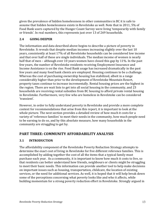given the prevalence of hidden homelessness in other communities in BC it is safe to assume that hidden homelessness exists in Revelstoke as well. Note that in 2011, 5% of Food Bank users captured by the Hunger Count Survey were living 'temporarily with family or friends'. In real numbers, this represents just over 13 of 269 households.

## **2.4 GOING!DEEPER**

The information and data described above begins to describe a picture of poverty in Revelstoke. It reveals that despite median incomes increasing slightly over the last 10 years, consistently at least 17% of all Revelstoke households can be considered low income and that over half of these are single individuals. The median income of women is nearly half that of men – although over 10 years women have closed this gap by 11%. In the past few years, the number of Revelstoke residents receiving Employment Insurance and Income Assistance is on the rise. Food Bank usage has increased dramatically in the past few years and many food bank clients are employed. Housing continues to be a challenge. Whereas the cost of purchasing ownership housing has stabilized, albeit in a range considerably higher than prior to the development of Revelstoke Mountain Resort, property taxes continue to increase incrementally. Rental housing prices are the highest in the region. There are wait lists to get into all social housing in the community, and 23 households are receiving rental subsidies from BC housing to afford private rental housing in Revelstoke. Furthermore, very few who are homeless in Revelstoke can be considered 'transient'.

However, in order to fully understand poverty in Revelstoke and provide a more complete context for recommendations that arise from this report, it is important to look at the whole picture. The next section provides a detailed review of how much it costs for a variety of 'reference families' to meet their needs in the community, how much people need to be earning to do so, and by this absolute measure, how many households in the community are struggling to get by.

# PART THREE: COMMUNITY AFFORDABILITY ANALYSIS

## **3.1 INTRODUCTION**

The affordability component of the Revelstoke Poverty Reduction Strategy attempts to determine the exact cost of living in Revelstoke for five different reference families. This is accomplished by adding together the cost of all the items that a typical family must purchase each year. As a community, it is important to know how much it costs to live, so that residents can better understand how friends, neighbours or clients might be struggling to meet their basic needs. This information can provide another tool to help make decisions on important issues such as housing, transportation, childcare, the location of existing services, or the need for additional services. As well, it is hoped that it will help break down some of the perceptions concerning what poverty looks like and who it affects, while building momentum for a strong poverty reduction effort in Revelstoke. Strongly argued in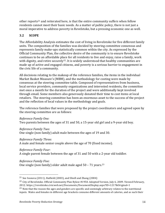other reports<sup>21</sup> and reiterated here, is that the entire community suffers when fellow residents cannot meet their basic needs. As a matter of public policy, there is not just a moral imperative to address poverty in Revelstoke, but a pressing economic one as well.

## **3.2! SCOPE**

The Affordability Analysis estimates the cost of living in Revelstoke for five different family units. The composition of the families was decided by steering committee consensus and represents family make-ups statistically common within the city. As expressed by the Official Community Plan, the collective desire of the community is to ensure Revelstoke continues to be an affordable place for all residents to live and enjoy, raise a family, work with dignity, and retire securely<sup>22</sup>. It is widely understood that healthy communities are made up of active and engaged citizens, and poverty is a serious barrier to engagement in the civic life of a community.

All decisions relating to the makeup of the reference families, the items in the individual Market Basket Measure's (MBM), and the methodology for costing were made by consensus at the steering committee table. Composed of representatives from business, local service providers, community organizations and interested residents, the committee met once a month for the duration of the project and were additionally kept involved through email. Some members also generously donated their time to cost items at local retailers. The steering committee has been an enormous asset to the success of the project and the reflection of local values in the methodology and goals.

The reference families that were proposed by the project coordinators and agreed upon by the steering committee are as follows:

#### *Reference Family One:*

Two parents between the ages of 31 and 50, a 15-year old girl and a 9-year old boy.

#### *Reference Family Two:*

One single (non family) adult male between the ages of 19 and 30.

#### *Reference Family Three:*

A male and female senior couple above the age of 70 (fixed income).

#### **Reference Family Four:**

A single parent female between the age of 31 and 50 with a 2-year old toddler.

#### *Reference Family Five:*

!!!!!!!!!!!!!!!!!!!!!!!!!!!!!!!!!!!!!!!!!!!!!!!!!!!!!!!

One single (non family) older adult male aged 50 - 71 years.<sup>23</sup>

<sup>&</sup>lt;sup>21</sup> See Ivanova (2011), Hatfield (2003), and Shiell and Zhang (2004)

<sup>&</sup>lt;sup>22</sup> City of Revelstoke. Official Community Plan Bylaw #1950. Adopted Version, July 6, 2009. Viewed February, 2012. https://revelstoke.civicweb.net/Documents/DocumentDisplay.aspx?ID=1217&Original=1

<sup>&</sup>lt;sup>23</sup> Note that the reason the ages and genders are specific and seemingly arbitrary relates to the nutritional inputs. Males and females in different age brackets consume different amounts of calories, and as such their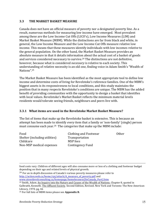#### **3.3 THE MARKET BASKET MEASURE**

Canada does not have an official measure of poverty nor a designated poverty line. As a result, numerous methods for measuring low income have emerged. Most prevalent among these are the Low Income Cut Offs (LICO's), Low Income Measures (LIM) and Market Basket Measure (MBM). While the distinctions are far from black and white, in general, the Low Income Measure and the Low Income Cut Offs measure relative low income. This means that these measures identify individuals with low incomes *relative* to the general population. On the other hand, the Market Basket Measure provides an absolute measure in that it details information about the actual cost of a basket of goods and services considered necessary to survive.<sup>24</sup> The distinctions are not definitive, however, because what is considered *necessary* is relative to each society. This understanding of relative necessity is an old one, finding voice in Adam Smith's "Wealth of Nations".25

The Market Basket Measure has been identified as the most appropriate tool to define low income and determine costs of living for Revelstoke's reference families. One of the MBM's biggest assets is its responsiveness to local conditions, and this study maintains the position that in many respects Revelstoke's conditions are unique. The MBM has the added benefit of providing communities with the opportunity to design a basket that identifies with local values. Revelstoke's Market Basket reflects the minimum material levels residents would tolerate seeing friends, neighbours and peers live with.

#### **3.3.1! What!items!are!used!in the!Revelstoke!Market!Basket!Measure?**

The list of items that make up the Revelstoke basket is extensive. This is because an attempt has been made to identify *every* item that a family or 'non-family' (single) person must consume each year.<sup>26</sup> The categories that make up the MBM include:

Food Clothing and Footwear Other Shelter (including utilities) Transportation Childcare MSP fees Non-MSP medical expenses Contingency Fund

!!!!!!!!!!!!!!!!!!!!!!!!!!!!!!!!!!!!!!!!!!!!!!!!!!!!!!!!!!!!!!!!!!!!!!!!!!!!!!!!!!!!!!!!!!!!!!!!!!!!!!!!!!!!!!!!!!!!!!!!!!!!!!!!!!!!!!!!!!!!!!!!!!!!!!!!!!!!!!!!!!!!!!!!!!!!!!!!!!

 $24$  For an in depth discussion of Canada's various poverty measures please refer to http://action.web.ca/home/cpj/attach/A\_measure\_of\_poverty.pdf and! www.streetlevelconsulting.ca/homepage/homelessness2InCanada\_Part2.htm

<sup>26</sup> For full lists of MBM items please see **Appendix B.** 

food costs vary. Children of different ages will also consume more or less of a clothing and footwear budget depending on their age and related levels of physical growth.

<sup>&</sup>lt;sup>25</sup> Smith, Adam. An Inquiry into the Nature and Causes of the Wealth of Nations. Chapter 8, quoted in Galbraith, Kenneth. The Affluent Society. Second Edition, Revised. New York and Toronto: The New American Library, 1970. pg. 46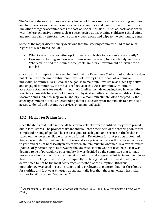The 'other' category includes necessary household items such as linens, cleaning supplies and hardware, as well as costs such as bank account fees and Laundromat expenditures. The other category accommodates the cost of 'social inclusion' – such as, costs associated with the less expensive sports such as soccer registration, evening childcare, school trips, and nominal family entertainment such as video rentals and trips to the community center.

Some of the major discretionary decisions that the steering committee had to make in regards to MBM items included:

- What type of transportation options were applicable for each reference family?
- How many clothing and footwear items were necessary for each family member?
- What constituted the minimal acceptable limit for entertainment or leisure for a family?

Once again, it is important to keep in mind that the Revelstoke Market Basket Measure does not attempt to determine subsistence levels of poverty (e.g. the cost of keeping an individual or family alive). Because the goal is to maintain Revelstoke as a healthy, active and engaged community, the MBM is reflective of this. As a community, minimum acceptable standards for residents and their families include ensuring they have healthy food to eat, are able to take part in low cost physical activities, and have suitable clothing, footwear and shelter to keep warm and dry in a mountain climate. Also accepted by the steering committee is the understanding that it is necessary for individuals to have basic access to dental and optometry services on an annual basis.

#### **3.3.2 Method for Pricing Items**

Once the items that make up the MBM's for Revelstoke were identified, they were priced out in local stores. The project assistant and volunteer members of the steering committee completed pricing of goods. The cost assigned to each good and service in the basket is based on the lowest available price to be found in Revelstoke for that particular item. All items were costed at their regular price, not at sale prices as these will fluctuate from year to year and are not necessarily in effect when an item must be obtained. In a few instances (particularly pertaining to outerwear), the lowest cost item was not used because it was deemed to be of particularly poor quality. It was decided by the committee that it made more sense from a practical consumer standpoint to make a greater initial investment in an item to ensure longer life. Having to frequently replace goods of the lowest quality was determined to not be the most cost effective method of consumption. Rigorous methodology was used in costing items, and it is relevant to mention that our thresholds for clothing and footwear emerged as substantially less than those generated in similar studies for Whistler and Vancouver.<sup>27</sup>

<sup>&</sup>lt;sup>27</sup> See for example, SPARC BC's Whistler Affordability Study (2007), and CCPA Working for a Living Wage (2009)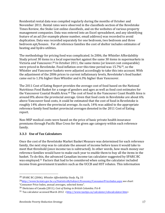Residential rental data was compiled regularly during the months of October and November 2011. Rental rates were observed in the classifieds section of the Revelstoke Times Review, the Stoke List online classifieds, and on the websites of various property management companies. Data was entered into an Excel spreadsheet, and any identifying feature of an ad (for example phone number, email address) was recorded to avoid duplication. Data was recorded separately for one bedroom, two bedroom and three bedroom apt/houses. For all reference families the cost of shelter includes estimates of heating and hydro utilities.

The methodology for pricing food was complicated. In 2006, the Whistler Affordability Study priced 30 items in a local supermarket against the same 30 items in supermarkets in Victoria and Vancouver.<sup>28</sup> In October 2011, the same items (or lowest cost comparable) were priced in Revelstoke. Food inflation over this time period was  $15.7\%^{29}$ , so the Whistler and Vancouver baskets were adjusted accordingly to take this into account. With the adjustment of the 2006 prices to current inflationary levels, Revelstoke's food basket came out to 1.3% higher than Whistler and 6.3% higher than Vancouver.

The 2011 Cost of Eating Report provides the average cost of food based on the National Nutritious Food Basket for a range of genders and ages as well as food cost estimates for the Vancouver Coastal Health Area.<sup>30</sup> The cost of food in the Vancouver Coast Health Area is around 8% above the provincial average. Given that food costs in Revelstoke are about  $6\%$ above Vancouver food costs, it could be estimated that the cost of food in Revelstoke is roughly 14% above the provincial average. As such, 14% was added to the appropriate reference family food basket provincial averages denoted in the 2011 Cost of Eating report.

Non-MSP medical costs were based on the price of basic private health insurance premiums through Pacific Blue Cross for the given age category within each reference family.

## **3.3.3 Use of Tax Calculators**

Once the cost of the Revelstoke Market Basket Measure was determined for each reference family, the next step was to calculate the amount of income before taxes it would take to meet that threshold (once income tax is subtracted). In other words, how much money our reference families would have to make each year to enable them to buy all the items in the basket. To do this, the advanced Canadian income tax calculator suggested by SPARC BC was employed.<sup>31</sup> Factors that had to be considered when using the calculator included income from government transfers such as the UCCB and HST rebates. This information

<sup>&</sup>lt;sup>28</sup> SPARC BC (2006). *Whistler Affordability Study*. Pg. 33

<sup>&</sup>lt;sup>29</sup>http://www.bcstats.gov.bc.ca/StatisticsBySubject/Economy/ConsumerPriceIndex.aspx see chart "Consumer Price Index, annual averages, selected items".

<sup>&</sup>lt;sup>30</sup> Dieticians of Canada (2011). *Cost of Eating in British Columbia*. P.6-8

 $31$  Tax calculator accessed March 2012 <http://www.taxtips.ca/calculator/cdncalculator.htm>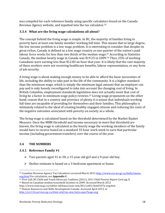was compiled for each reference family using specific calculators found on the Canada Revenue Agency website, and inputted into the tax calculator.<sup>32</sup>

## **3.3.4 What are the living wage calculations all about?**

The concept behind the living wage is simple. In BC, the majority of families living in poverty have at least one family member working full time. This means that to large degree, the low income problem is a low wage problem. It is interesting to consider that despite its great riches, Canada is defined as a low wage country as one quarter of the nation's paid labour force works for less than two thirds of the median wage.<sup>33</sup> According to Statistics Canada, the median hourly wage in Canada was \$19.25 in 2009.<sup>34</sup> Thus, 25% of working Canadians were earning less than \$12.83 an hour that year. It is likely that the vast majority of these workers were not receiving healthcare benefits, labour representation, or any form of job security.

A living wage is about making enough money to be able to afford the basic necessities of life, including the ability to take part in the life of the community. It is a higher standard than the minimum wage, which is simply the minimum legal amount that an employer can pay and is only loosely reconfigured to take into account the changing cost of living. In British Columbia, employment standards legislation does not actually insist that cost of living be a factor in minimum wage policy reviews.<sup>35</sup> Living wage proponents on the other hand, reason that in a country and province of plenty it is unjust that individuals working full time are incapable of providing for themselves and their families. This philosophy is intimately related to the ideal of creating healthy engaged citizens and reducing the costs of the negative outcomes associated with poverty on society as a whole.

The living wage is calculated based on the threshold determined by the Market Basket Measure. Once the MBM threshold and income necessary to meet that threshold are known, the living wage is calculated as the hourly wage the working members of the family would have to receive based on a standard 35 hour work week to earn that particular income (including government transfers) over the course of the year.

## **3.4 THE NUMBERS**

## **3.4.1 Reference Family #1**

- $\triangleright$  Two parents aged 31 to 50, a 15-year old girl and a 9-year old boy.
- $\triangleright$  Shelter estimate is based on a 3-bedroom apartment or home.

<sup>!!!!!!!!!!!!!!!!!!!!!!!!!!!!!!!!!!!!!!!!!!!!!!!!!!!!!!!</sup> 32 Canadian Revenue Agency Tax Calculators accessed March 2012 http://www.cra-arc.gc.ca/bnfts/menueng.html For calculation, see **Appendix C.** 

<sup>&</sup>lt;sup>33</sup> First Call: BC Child and Youth Advocacy Coalition (2011), 2011 Child Poverty Report Card. pg. 8 34 Based on Canadian median household incomes in 2009. Accessed March 2012

http://www.statcan.gc.ca/tables-tableaux/sum-som/l01/cst01/famil107a-eng.htm <sup>35</sup> Human Resources and Skills Development Canada. Accessed April 2012, at

http://srv116.services.gc.ca/dimt-wid/sm-mw/intro.aspx?lang=eng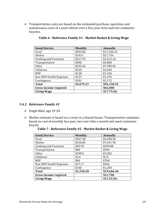$\triangleright$  Transportation costs are based on the estimated purchase, operation and maintenance costs of a used vehicle over a five-year term and two commuter bicycles.

| Good/Service                 | <b>Monthly</b> | Annually    |
|------------------------------|----------------|-------------|
| Food                         | \$963.86       | \$11,566.32 |
| Shelter                      | \$1813         | \$21,756    |
| Clothing and Footwear        | \$217.93       | \$2,615.16  |
| Transportation               | \$400          | \$4,800     |
| <b>Other</b>                 | \$632.42       | \$7,589.04  |
| Childcare                    | \$220          | \$2,640     |
| <b>MSP</b>                   | \$128          | \$1,536     |
| Non MSP Health Expenses      | \$123          | \$1,476     |
| Contingency                  | \$181          | \$2,172     |
| <b>Total</b>                 | \$4,679.21     | \$56,150.52 |
| <b>Gross income required</b> |                | \$66,000    |
| <b>Living Wage</b>           |                | \$17.75/hr. |

**Table 6 - Reference Family #1 - Market Basket & Living Wage** 

#### **3.4.2** Reference Family #2

- $\geq$  Single Male, age 19-30.
- $\triangleright$  Shelter estimate is based on a room in a shared house. Transportation estimates based on cost of monthly bus pass, two taxi rides a month and used commuter bicycle.

**Table 7 - Reference Family #2 - Market Basket & Living Wage** 

| Good/Service                 | Monthly    | Annually    |
|------------------------------|------------|-------------|
| Food                         | \$367.38   | \$4,408.56  |
| Shelter                      | \$636.83   | \$7,641.96  |
| Clothing and Footwear        | \$49.99    | \$599.88    |
| Transportation               | \$80       | \$960       |
| Other                        | \$298.5    | \$3,582     |
| Childcare                    | N/A        | N/A         |
| <b>MSP</b>                   | \$64       | \$768       |
| Non MSP Health Expenses      | \$37.17    | \$446       |
| Contingency                  | \$100      | \$1,200     |
| <b>Total</b>                 | \$1,558.28 | \$19,606.40 |
| <b>Gross income required</b> |            | \$21,700    |
| <b>Living Wage</b>           |            | \$11.92/hr. |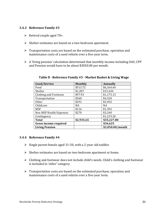#### **3.4.3** Reference Family #3

- $\triangleright$  Retired couple aged 70+.
- $\triangleright$  Shelter estimates are based on a two-bedroom apartment.
- $\triangleright$  Transportation costs are based on the estimated purchase, operation and maintenance costs of a used vehicle over a five-year term.
- $\triangleright$  A 'living pension' calculation determined that monthly income including OAS, CPP and Pension would have to be about \$3050.00 per month.

| Good/Service                 | <b>Monthly</b> | Annually         |
|------------------------------|----------------|------------------|
| Food                         | \$513.72       | \$6,164.64       |
| Shelter                      | \$1,287        | \$15,444         |
| Clothing and Footwear        | \$97.93        | \$1,175.13       |
| Transportation               | \$360          | \$4,320          |
| <b>Other</b>                 | \$291          | \$3,492          |
| Childcare                    | NA             | <b>NA</b>        |
| <b>MSP</b>                   | \$116          | \$1,392          |
| Non MSP Health Expenses      | \$270          | \$3,240          |
| Contingency                  |                | \$1,219.20       |
| <b>Total</b>                 | \$2,935.65     | \$35,227.80      |
| <b>Gross income required</b> |                | \$36,625         |
| <b>Living Pension</b>        |                | \$3,050.00/month |

**Table 8 - Reference Family #3 - Market Basket & Living Wage** 

#### **3.4.4 Reference Family #4**

- $\triangleright$  Single parent female aged 31-50, with a 2-year old toddler
- $\triangleright$  Shelter estimates are based on two-bedroom apartment or home.
- $\triangleright$  Clothing and footwear does not include child's needs. Child's clothing and footwear is included in 'other' category.
- $\triangleright$  Transportation costs are based on the estimated purchase, operation and maintenance costs of a used vehicle over a five-year term.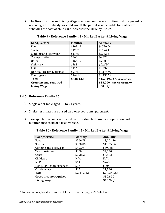$\triangleright$  The Gross Income and Living Wage are based on the assumption that the parent is receiving a full subsidy for childcare. If the parent is not eligible for child care subsidies the cost of child care increases the MBM by 20%<sup>36</sup>.

| Good/Service                 | <b>Monthly</b> | Annually                     |
|------------------------------|----------------|------------------------------|
| Food                         | \$399.17       | \$4790.04                    |
| Shelter                      | \$1287         | \$15,444                     |
| Clothing and Footwear        | \$47.93        | \$575.16                     |
| Transportation               | \$360          | \$4,320                      |
| <b>Other</b>                 | \$466.97       | \$5,603.70                   |
| Childcare                    | \$882          | \$10,584                     |
| <b>MSP</b>                   | \$116          | \$1,392                      |
| Non MSP Health Expenses      | \$97.91        | \$1,174.92                   |
| Contingency                  | \$144.68       | \$1,736.24                   |
| <b>Total</b>                 | \$3,801.66     | \$45,619.92 (with childcare) |
| <b>Gross income required</b> |                | \$38,000 (without childcare) |
| <b>Living Wage</b>           |                | \$20.87/hr.                  |

**Table 9 - Reference Family #4 - Market Basket & Living Wage** 

#### **3.4.5 Reference Family #5**

- $\triangleright$  Single older male aged 50 to 71 years.
- $\triangleright$  Shelter estimates are based on a one-bedroom apartment.
- $\triangleright$  Transportation costs are based on the estimated purchase, operation and maintenance costs of a used vehicle.

**Table 10 - Reference Family #5 - Market Basket & Living Wage** 

| Good/Service                 | <b>Monthly</b> | Annually      |
|------------------------------|----------------|---------------|
| Food                         | \$266.78       | \$3,201.36    |
| Shelter                      | \$920.86       | \$11,050.63   |
| Clothing and Footwear        | \$49.99        | \$599.88      |
| Transportation               | \$360          | \$4,320       |
| <b>Other</b>                 | \$298.50       | \$3,582       |
| Childcare                    | N/A            | N/A           |
| <b>MSP</b>                   | \$64           | \$768         |
| Non MSP Health Expenses      | \$67           | \$804         |
| Contingency                  | \$85           | \$1,020       |
| <b>Total</b>                 | \$2,112.13     | \$25,345.56   |
| <b>Gross income required</b> |                | \$30,800      |
| <b>Living Wage</b>           |                | \$16.92 / hr. |

<sup>&</sup>lt;sup>36</sup> For a more complete discussion of child care issues see pages 23-24 below.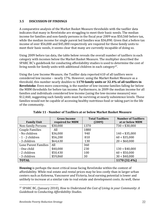#### **3.5 DISCUSSION OF FINDINGS**

A comparative analysis of the Market Basket Measure thresholds with the taxfiler data indicates that many in Revelstoke are struggling to meet their basic needs. The median income for families and non-family persons in the fiscal year 2009 was \$50,560 before tax, while the median income for single parent led families was \$36,890. Given that a before tax income of over \$56,000 and \$45,000 respectively are required for these family units to meet their basic needs, it seems clear that many are currently incapable of doing so.

Using 2009 before tax data, the table below reveals the overall number of taxfilers in each category with incomes below the Market Basket Measure. The multiplier described the SPARC BC's guidebook for conducting affordability studies is used to determine the cost of living needs for family units with additional children in each category<sup>37</sup>.

Using the Low Income Measure, the Taxfiler data reported 610 of all taxfilers were considered low income – nearly 17%. However, using the Market Basket Measure as a threshold, this number nearly doubles to **1170 family units or 32.4% of all taxfilers in** Revelstoke. Even more concerning, is the number of low-income families falling far below the MBM thresholds for before tax income. Furthermore, in 2009 the median income for all families and individuals considered low income (using the low-income measure) was \$12,460, suggesting such family units must be surviving at nearly subsistence levels. These families would not be capable of accessing healthy nutritious food or taking part in the life of the community.

| <b>Family Unit</b>        | <b>Gross Income</b><br>required for MBM | <b>Total Taxfilers</b><br>(2009) | <b>Number of Taxfilers</b><br>at or below MBM |
|---------------------------|-----------------------------------------|----------------------------------|-----------------------------------------------|
| <b>Non-family Persons</b> | \$30,000                                | 1370                             | 730 < \$30,000                                |
| <b>Couple Families</b>    | All                                     | 1880                             |                                               |
| - No children             | \$36,000                                | 940                              | 140 < \$35,000                                |
| $-1 - 2$ children         | \$56,200                                | 810                              | 60 < \$35,000                                 |
| - 3 children              | \$64,630                                | 130                              | 20 < \$60,000                                 |
| Lone Parent Families      | All                                     | 360                              |                                               |
| - One child               | \$40,000                                | 230                              | 130 < \$40,000                                |
| - 2 children              | \$50,430                                | 100                              | 60 < \$50,000                                 |
| - 3 children              | \$59,860                                | 30                               | 30 < \$40,000                                 |
| <b>TOTAL</b>              |                                         |                                  | 1170 (32.4%)                                  |

**Table 11 · Number of Taxfilers at or below Market Basket Measure** 

**Housing** is perhaps the most critical issue facing Revelstoke within the context of affordability. While real estate and rental prices may be less costly than in larger urban centers such as Kelowna, Vancouver and Victoria, local earning potential is lower and unlikely to increase at a similar rate to real estate and development costs. As well, these

<sup>&</sup>lt;sup>37</sup> SPARC BC, (January 2010), *How to Understand the Cost of Living in your Community: A Guidebook)to)Conducting)Affordability)Studies.*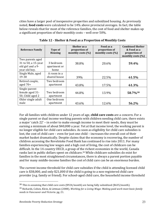cities have a larger pool of inexpensive properties and subsidized housing. As previously noted, **food costs** were calculated to be 14% above provincial averages. In fact, the table below reveals that for most of the reference families, the cost of food and shelter makes up a significant proportion of their monthly costs – well over  $50\%$ .

| <b>Reference Family</b>                                                       | Type of<br><b>Housing</b>         | Shelter as a<br>proportion of<br>monthly costs (%) | Food as a<br>proportion of<br>monthly costs $(\% )$ | <b>Combined Shelter</b><br>& Food as a<br>proportion of<br>monthly costs (%) |
|-------------------------------------------------------------------------------|-----------------------------------|----------------------------------------------------|-----------------------------------------------------|------------------------------------------------------------------------------|
| Two parents aged<br>31 to 50, a 15-year<br>old girl and a 9-<br>year old boy. | 3 bedroom<br>apartment or<br>home | 38.8%                                              | 20.6%                                               | 59.4%                                                                        |
| Single Male, aged<br>19-30                                                    | A room in a<br>shared house       | 39%                                                | 22.5%                                               | 61.5%                                                                        |
| Retired couple,<br>aged $70+$                                                 | Two bedroom<br>apartment          | 43.8%                                              | 17.5%                                               | 61.3%                                                                        |
| Single-parent<br>female aged 31-<br>50, Child aged 2                          | Two bedroom<br>apartment          | 44.8%                                              | 13.9%                                               | 58.7%38                                                                      |
| Older single adult<br>male                                                    | One bedroom<br>apartment          | 43.6%                                              | 12.6%                                               | 56.2%                                                                        |

**Table 12 - Shelter & Food as a Proportion of Monthly Costs** 

For all families with children under 12 years of age, **child care costs** are a concern. For a single parent or dual income working parents with children needing child care, there exists a major 'catch 22' – in order to make enough income to meet their needs, they must be earning a minimum of about \$40,000 a year. Yet at that income level, the working parent is no longer eligible for child care subsidies. As soon as eligibility for child care subsidies is lost, the cost of child care – even for just one child – increases the overall cost of their market basket dramatically. Despite claims that the economy is recovering, the number of children accessing the Revelstoke Food Bank has continued to rise into 2011. For many families experiencing low wages and a high cost of living, the cost of childcare can be difficult. In the 14 country OECD, a group of the richest economies in the world, Canada ranks last in public dollars spent on childcare.<sup>39</sup> While childcare subsidies do exist for families in the most straightened circumstances, there is always a parent portion payable and for many middle-income families the cost of child care can be an enormous burden.

The current income threshold for child care subsidies if the child is attending licensed child care is \$38,000, and only \$21,000 if the child is going to a non-registered child care provider (e.g. family or friend). For school-aged child care, the household income threshold

 $38$  This is assuming that child care costs (\$924/month) are being fully subsidized (\$635/month).

<sup>&</sup>lt;sup>39</sup> Richards, Cohen, Klein, & Littman (2008), *Working for a Living Wage: Making paid work meet basic family needs in Vancouver and Victoria.* pg. 21.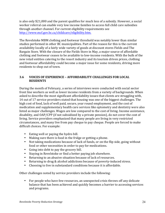is also only \$21,000 and the parent qualifies for much less of a subsidy. However, a social worker referral can enable very low income families to access full child care subsidies through another channel. For current eligibility requirements see http://www.mcf.gov.bc.ca/childcare/eligibility.htm.

The Revelstoke MBM clothing and footwear threshold was notably lower than similar studies performed in other BC municipalities. Part of the reason for this is the current availability locally of a fairly wide variety of goods at discount stores Fields and The Bargain Store. With the closure of the Fields Store in May, a major source of affordable clothing and footwear ceases to be available to low-income residents. With the bulk of the new retail entities catering to the resort industry and its tourism driven prices, clothing and footwear affordability could become a major issue for some residents, driving more residents to shop out of town.

#### **3.6 VOICES OF EXPERIENCE – AFFORDABILITY CHALLENGES FOR LOCAL RESIDENTS**

During the month of February, a series of interviews were conducted with social sector front line workers as well as lower income residents from a variety of backgrounds. When asked to describe the most significant affordability issues that clients are struggling with, 14 out of 17 service providers stated that housing was one of the biggest challenges. The high cost of food, lack of well paid, secure, year round employment, and the cost of medication and supplementary health care services like optometry and dentistry were also listed as major challenges. Wages are low compared to the cost of living. Income assistance, disability, and OAP/CPP (if not subsidized by a private pension), do not cover the cost of living. Service providers emphasized that many people are living in very restricted circumstances, and many live from pay cheque to pay cheque. People are forced to make difficult choices. For example:

- Eating well or paying the hydro bill.
- Making sure there is food in the fridge or getting a phone.
- Not taking medications because of lack of funds, or on the flip side, going without food or other necessities in order to pay for medications.
- Going into debt to pay the grocery bill.
- Staying in Revelstoke or find a better paying job elsewhere.
- Returning to an abusive situation because of lack of resources.
- Returning to drug & alcohol addictions because of poverty-induced stress.
- Choosing to live in substandard conditions because it is affordable.

Other challenges noted by service providers include the following:

• For people who have few resources, an unexpected crisis throws off any delicate balance that has been achieved and quickly becomes a barrier to accessing services and!programs.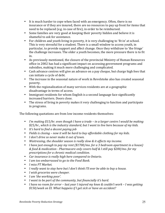- It is much harder to cope when faced with an emergency. Often, there is no insurance or if they are insured, there are no resources to pay up front for items that need to be replaced (e.g. in case of fire), in order to be reimbursed.
- Some families are very good at keeping their poverty hidden and believe it is shameful to ask for assistance.
- For children and youth living in poverty, it is very challenging to 'fit in' at school. This is very stressful for a student. There is a small window to access youth, in particular, to provide support and affect change. Once they withdraw to 'the fringe' the challenge increases. The older a youth becomes, the more pressure there is to fit in.
- As previously mentioned, the closure of the provincial Ministry of Human Resources office in 2002 has had a significant impact on accessing government programs and subsidies, making it much more challenging and complicated.
- Cash advance centres will give an advance on a pay cheque, but charge high fees that can initiate a cycle of debt.
- The increase in the seasonal nature of work in Revelstoke also has created seasonal poverty.
- With the regionalization of many services residents are at a geographic disadvantage in terms of access.
- Immigrant residents for whom English is a second language face significantly increased barriers. Doors close.
- The stress of living in poverty makes it very challenging to function and participate in programs.

The following quotations are from low income residents themselves:

- *I'm making \$15/hr. even though I have a trade in a larger centre I would be making \$25/hr.,)which)is)the)industry)standard,)but)I)want)to)live)here)because)of)my)kids.*
- *It's hard to find a decent paying job*
- Fields is closing now it will be hard to buy affordable clothing for my kids.
- *I don't drive so never make it out of town.*
- *Waitressing, the shoulder season is really slow & it affects my income.*
- *I have just enough to pay my rent (\$1700/mo. for a 3 bedroom apartment in a house) &)food)&)medication)d Pharmacare)only)covers)half)&)I)still)pay)\$200/mo. for)my) prescriptions)for)a)chronic)medical)condition.*
- *Car insurance is really high here compared to Ontario.*
- *I am too embarrassed to go to the Food Bank.*
- *I miss PT Market.*
- *I really want to stay here but I don't think I'll ever be able to buy a house.*
- *I wish groceries were cheaper.*
- *I am 'the working poor'.*
- *I want to be part of the community, but financially it's hard.*
- *I have no room for error last year I injured my knee & couldn't work I was getting \$150/week)on)EI.)What)happens)if I)get)sick)or)have)an)accident?*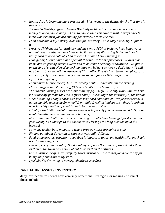- *Health Care is becoming more privatized I just went to the dentist for the first time in five* years.
- *We need a Ministry office in town Disability or IA recipients don't have enough money* to get a phone, but you have to phone, then you have to wait. Always back & *forth. Don't know if you are missing paperwork. A vicious circle.*
- *I don't talk about my poverty, even though it's stressful on a daily basis I try & ignore it.*
- *I receive \$906/month for disability and my rent is \$600, it includes heat & hot water but)not)other)utilities)– when)I)moved)in,)it)was)really)disgusting)&)the)landlord)is)* really hard to get a hold of, I had to clean for hours before moving in.
- *I can get by, but we have a line of credit that we use for big purchases. We own our home)but)it's)getting)older)so)we've)had)to)do)some)necessary)renovations)– we put)it)* on the line of credit. Now if something happens & I have to move, I don't know if I will *be)able)to)afford)something)else)even)if)it's)smaller.)Plus it's)hard)to)do)the)upkeep)on)a) large property so we have to pay someone to do it for us – this is expensive.*
- *Hydro keeps going up.*
- *I don't drive but use the city bus this really limits our activities in the evening.*
- *I have a degree and I'm making \$12/hr. Also it's just a temporary job.*
- The current housing prices are more than my pay cheque. The only way I can live here *is because my parents took me in (with child). This changes the hierarchy of the family.*
- Since becoming a single parent it's been very hard emotionally my greatest stress is *not)being)able)to)provide)for)myself)&)my)child)&)feeling)inadequate)– there)is)both)my) own & society's notion of what I should be able to provide.*
- *I don't fit the 'definition' of someone who lives in poverty (I have no drug addictions or*) *mental health issues or employment barriers).*
- *MSP premiums don't cover prescription drugs really hard to budget for if something goes)wrong.)So)I)don't)go)to)the)doctor.)Once)I)let)it)go)too)long)&)ended)up)in)the) hospital.*
- *I* own my trailer, but I'm not sure where property taxes are going to stop.
- Finding out about Government supports was really difficult.
- *Food is the greatest expense good food is important to staying healthy. Not much left over)for)anything)else.*
- *Prices of everything went up (food, rent, hydro) with the arrival of the ski hill it feels* as though the town cares more about tourists than the citizens.
- *Car insurance is expensive, property taxes, insurance the things you have to pay for in big lump sums are really hard.*
- *I* feel like I'm drowning in poverty silently to save face.

## **PART FOUR: ASSETS INVENTORY**

Many low income residents have a variety of personal strategies for making ends meet. These include: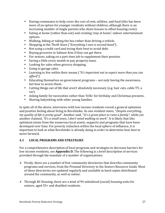- Having roommates to help cover the cost of rent, utilities, and food (this has been more of an option for younger residents without children, although there is an increasing number of single parents who share houses to offset housing costs).
- Eating at home (rather than out) and creating 'stay at home', indoor entertainment options.
- Walking, biking or taking the bus rather than driving a vehicle.
- Shopping at the Thrift Store (*"Everything I own is second-hand"*).
- Not using a credit card and trying their best to avoid debt.
- Buying groceries in Salmon Arm if they can get there.
- For seniors, taking on a part-time job to supplement their pension.
- Saving a little every month to pay property taxes.
- Looking for sales when grocery shopping.
- Going to garage sales.
- Learning to live within their means (*"It's important not to expect more than you can*) *afford").*
- Educating themselves on government programs not only having the awareness, but how to access them.
- Cutting things out of life that aren't absolutely necessary (e.g. hair cuts, cable TV, a car).
- Asking family for necessities rather than 'frills' for birthday and Christmas presents.
- Sharing babysitting with other young families.

In spite all of the above, interviews with low income residents reveal a general optimism and positive feeling about living in Revelstoke. As one resident notes, "*Despite everything*, *my quality of life is pretty good".* Another said, "It's a great place to raise a family", while yet another claimed, *"It's a small town, I don't mind walking to work"*. It is likely that this optimism stems from the numerous local assets, supports and programs that have been developed over time. For poverty reduction within the local sphere of influence, it is important to look at what Revelstoke is already doing in order to determine how best to move forward.

#### **4.1 LOCAL!PROGRAMS!AND!STRATEGIES**

For a comprehensive description of local programs and strategies to decrease barriers for low income residents, see **Appendix D.** The following is a brief description of services provided through the mandate of a number of organizations:

- $\triangleright$  Firstly, there are a number of free community directories that describe community programs and services, from the Prenatal Directory to the Seniors Resource Guide. Most of these directories are updated regularly and available in hard copies distributed around the community, as well as online.
- $\triangleright$  Through BC Housing, there are a total of 94 subsidized (social) housing units for seniors, aged 55+ and disabled residents.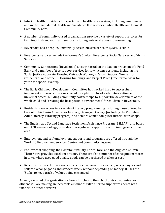- $\triangleright$  Interior Health provides a full spectrum of health care services, including Emergency and Acute Care, Mental Health and Substance Use services, Public Health, and Home & Community Care.
- $\triangleright$  A number of community-based organizations provide a variety of support services for families, children, youth and seniors including universal access to counselling.
- $\triangleright$  Revelstoke has a drop-in, universally accessible sexual health (SAFER) clinic.
- $\triangleright$  Emergency services include the Women's Shelter, Emergency Social Services and Victim Services.
- $\triangleright$  Community Connections (Revelstoke) Society has taken the lead on provision of a Food Bank and a number of free support services for low income residents including the Social Justice Advocate, Housing Outreach Worker, a Tenant Support Worker for residents of one of the BC Housing buildings, and Project Prom (free formal wear for youth for special events).
- $\triangleright$  The Early Childhood Development Committee has worked hard to successfully implement numerous programs based on a philosophy of early intervention and universal access, building community partnerships to support the development of the whole child and "creating the best possible environment" for children in Revelstoke.
- $\triangleright$  Residents have access to a variety of literacy programming including those offered by the Columbia Basin Alliance for Literacy, Okanagan College (including the Volunteer Adult Literacy Tutoring program), and Seniors Centre computer tutorial workshops.
- $\triangleright$  The English as a Second Language Settlement Assistance Program (ESLSAP), also based out of Okanagan College, provides literacy-based support for adult immigrants to the area.
- $\triangleright$  Employment and self-employment supports and programs are offered through the Work BC Employment Services Centre and Community Futures.
- $\triangleright$  For low cost shopping, the Hospital Auxiliary Thrift Store, and the Anglican Church Thrift Store provides excellent options. There are also a number of consignment stores in town where used good quality goods can be purchased at a lower cost.
- $\triangleright$  Recently, the 'Revelstoke Goods & Services Exchange' was formed, where buyers and sellers exchange goods and services freely without depending on money. It uses the 'Stoke' to keep track of values being exchanged.

As well, a myriad of organizations – from churches to the school district, volunteer or otherwise – are making an incredible amount of extra effort to support residents with financial or other barriers: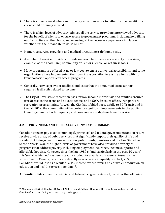- $\triangleright$  There is cross-referral where multiple organizations work together for the benefit of a client, child or family in need.
- $\triangleright$  There is a high level of advocacy. Almost all the service providers interviewed advocate for the benefit of clients to ensure access to government programs, including help filling out forms, time on the phone, and ensuring all the necessary paperwork in place  $$ whether it is their mandate to do so or not.
- $\triangleright$  Numerous service providers and medical practitioners do home visits.
- $\triangleright$  A number of service providers provide outreach to improve accessibility to services, for example, at the Food Bank, Community or Seniors Centre, or within schools.
- $\triangleright$  Many programs are offered at no or low cost to ensure universal accessibility, and some organizations have implemented their own transportation to ensure clients with no transportation options can access programs.
- $\triangleright$  Generally, service provider feedback indicates that the amount of extra support required is directly related to income.
- $\triangleright$  The City of Revelstoke recreation pass for low income individuals and families ensures free access to the arena and aquatic centre, and a 50% discount off city-run parks  $&$ recreation programming. As well, the City has lobbied successfully to BC Transit and in the fall 2012, the community will experience significant improvements to the public transit system for both frequency and convenience of daytime transit service.

#### **4.2! PROVINCIAL!AND!FEDERAL!GOVERNMENT!PROGRAMS!**

Canadian citizens pay taxes to municipal, provincial and federal governments and in return receive a wide array of public services that significantly impact their quality of life and standard of living – health care, education, public roads, pensions and the like. Since the Second World War, the higher levels of government have also provided a variety of programs that address poverty including employment insurance, income supports, and affordable housing. However, since the late 1980's (and particularly in the past 10 years), this 'social safety net' has been steadily eroded for a variety of reasons. Research has shown that in Canada, tax cuts are directly exacerbating inequality – in fact,  $75\%$  of Canadians would lose as a result of a 1% income tax cut forcing an equivalent reduction on education and health services spending $40$ .

Appendix E lists current provincial and federal programs. As well, consider the following:

<sup>!!!!!!!!!!!!!!!!!!!!!!!!!!!!!!!!!!!!!!!!!!!!!!!!!!!!!!!</sup> <sup>40</sup> Mackenzie, H. & Shillington, R. (April 2009). Canada's Quiet Bargain: The benefits of public spending. Candian Centre for Policy Alternatives. growinggap.ca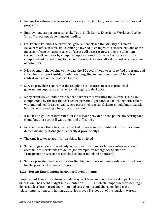- $\triangleright$  Income tax returns are necessary to access most, if not all, government subsidies and programs.
- $\triangleright$  Employment support programs like Youth Skills Link & Experience Works tend to be 'one off' programs depending on funding.
- $\geq$  0n October 1<sup>st</sup>, 2002 the provincial government closed the Ministry of Human Resources office in Revelstoke. Among a myriad of changes, this closure had one of the most significant impacts in terms of access. All access is now either via telephone through a call centre or by computer. Applications for Income Assistance must be completed online. Yet many low income residents cannot afford the cost of a telephone or computer.
- $\triangleright$  It is extremely challenging to navigate the BC government website to find programs and subsidies to support residents who are struggling to meet their needs. There is no central website online that lists them all.
- $\triangleright$  Service providers report that the telephone call centres to access provincial government supports can be very challenging to deal with.
- $\triangleright$  Many clients have limitations that are barriers to 'navigating the system'. Issues are compounded by the fact that call centre personnel get confused if dealing with a client with mental health issues; call centre personnel react as if clients should know exactly how to be proceeding when, if fact, they don't.
- $\triangleright$  It makes a significant difference if it is a service provider on the phone advocating for a client, but there are still wait times and difficulties.
- $\triangleright$  In recent years, there has been a marked increase in the number of individuals being denied disability status (both federally & provincially).
- $\triangleright$  The time it takes to apply for disability has tripled.
- $\triangleright$  Some programs are offered only in the lower mainland or larger centres so are not accessible to Revelstoke residents (for example, an Emergency Shelter or Transportation Assistance attached to lower mainland operators).
- $\triangleright$  Service provider feedback indicates that high numbers of immigrants are turned down for the provincial nominee program.

## **4.2.1 Recent Employment Insurance Developments**

Employment Insurance reform is underway in Ottawa and potential local impacts warrant discussion. The recent budget implementation bill, C-38, which lumps together seemingly disparate legislation from environmental assessments and aboriginal land use to telecommunications and immigration, also moves EI rules out of the legislative arena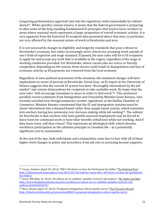(requiring parliamentary approval) and into the regulatory realm (amendable by cabinet alone) $41$ . While specifics remain elusive, it seems that the federal government is preparing to alter some of the long standing fundamental EI principles that tend to favor workers in areas where seasonal work represents a larger proportion of overall economic activity. It is very apparent from the historical EI recipient data presented above that men, in particular, are very affected by the seasonal nature of work in Revelstoke and area.

It is not necessarily changes to eligibility and longevity standards that pose a threat to Revelstoke's economy, but rather increasingly strict criteria for accepting work outside of one's field of expertise and wage standard. If passed, the new rules will force EI recipients to apply for and accept any work that is available in the region, regardless of the wage or working conditions provided. For Revelstoke, where vacant jobs are scarce or fiercely competitive depending on the season, these moves could result in depopulation and loss of economic activity as EI payments are removed from the local economy.

Regardless of ones political assessment of the situation, the imminent changes will have implications in terms of poverty in Revelstoke. David Gray, an EI expert at the University of Ottawa suggests that the current EI system has been "thoroughly internalized by the job market" and creates disincentives for recipients to take available work. He hopes that the new rules "will encourage Canadians to move in order to find work"<sup>42</sup>. This sentiment parallels recent comments from Immigration and Citizenship Minister Jason Kenney, who recently unveiled new foreign temporary worker regulations at the Halifax Chamber of Commerce. Minister Kenney commented that the EI and immigration systems must be closer intertwined into a demand based rather than supply based system, which translates into workers having less autonomy over decision making while job seeking<sup>43</sup>. The subtext for Revelstoke is that workers who have gainful seasonal employment may be forced to leave town for continued work or have their benefits withdrawn while not working. And if they leave town, will they return? This represents an ideological shift, which elevates workforce participation as the ultimate principle in Canadian life – at a potentially significant cost to communities.

At the end of the day, both individuals and communities come face to face with all of these higher-level changes in policy and procedure, from job cuts to accessing income supports.

<sup>&</sup>lt;sup>41</sup> Coyne, Andrew (April 30, 2012) "Bill C-38 shows us how far Parliament has fallen" The National Post. http://fullcomment.nationalpost.com/2012/04/30/andrew-coyne-bill-c-38-shows-us-how-far-parliamenthas-fallen/

<sup>&</sup>lt;sup>42</sup> Curry, Bill (May 14, 2012) "EI reform set to redefine 'suitable' work for job seekers" The Globe and Mail http://www.theglobeandmail.com/news/politics/ei-reform-set-to-redefine-suitable-work-for-jobseekers/article2432675/

<sup>43</sup> Ross, Selena (April 19, 2012) "Proposed immigration reform sparks worry" The Chronicle Herald http://thechronicleherald.ca/novascotia/88403-proposed-immigration-reform-sparks-worry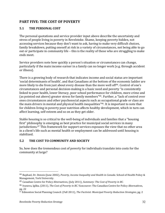# **PART FIVE: THE COST OF POVERTY**

# **5.1 THE PERSONAL!COST**

The personal quotations and service provider input above describe the uncertainty and stress of people living in poverty in Revelstoke. Shame, keeping poverty hidden, not accessing services because they don't want to ask, having to make very difficult choices, family breakdown, putting oneself at risk in a variety of circumstances, not being able to go out or participate in community life – this is the reality of those who are struggling to make ends meet.

Service providers note how quickly a person's situation or circumstances can change, particularly if the main income earner in a family can no longer work (e.g. through accident or illness).

There is a growing body of research that indicates income and social status are important 'social determinants of health', and that Canadians at the bottom of the economic ladder are more likely to die from just about every disease than the more well off<sup>44</sup>. Control of one's circumstances and personal decision-making is a basic need and poverty "is consistently linked to poor health, lower literacy, poor school performance for children, more crime and (as pointed out above) greater stress for family members"<sup>45</sup>. Further, a "lack of control over ones circumstances and other psychosocial aspects such as occupational grade or class are the main drivers in mental and physical health inequalities"<sup>46</sup>. It is important to note that for children living in poverty poor nutrition affects healthy development, which in turn can affect learning, self-esteem and so on as they get older.

Stable housing is so critical to the well-being of individuals and families that a "housing" first" philosophy is emerging as best practice for municipal social services in many jurisdictions.<sup>47</sup> This framework for support services espouses the view that no other area in a client's life such as mental health or employment can be addressed until housing is stabilized.!

# **5.2 THE!COST!TO!COMMUNITY AND!SOCIETY**

So, how does the tremendous cost of poverty for individuals translate into costs for the community at large?

<sup>&</sup>lt;sup>44</sup> Raphael, Dr. Dennis (June 2002), *Poverty, Income Inequality and Health in Canada.* School of Health Policy & Management, York University.

<sup>&</sup>lt;sup>45</sup> Canadian Centre for Policy Alternatives, (July 2011), *Summary: The Cost of Poverty in BC.* 

<sup>&</sup>lt;sup>46</sup> Ivanova, Iglika. (2011), *The Cost of Poverty in BC.* Vancouver: The Canadian Centre for Policy Alternatives, pg. 22

<sup>&</sup>lt;sup>47</sup> Edmonton Social Planning Council. (Fall 2011), *The Factivist: Municipal Poverty Reduction Strategies*, pg. 2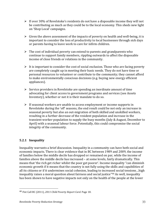- $\triangleright$  If over 30% of Revelstoke's residents do not have a disposable income they will not be contributing as much as they could be to the local economy. This sheds new light on 'Shop Local' campaigns.
- $\triangleright$  Given the above assessment of the impacts of poverty on health and well-being, it is important to consider the loss of productivity to local businesses through sick days or parents having to leave work to care for infirm children.
- $\triangleright$  The cost of individual poverty can extend to parents and grandparents who continue to support family members, rippling outwards to affect the disposable income of close friends or relations in the community.
- $\triangleright$  It is important to consider the cost of social exclusion. Those who are facing poverty are completely caught up in meeting their basic needs. They do not have time or personal resources to volunteer or contribute to the community; they cannot afford to make environmentally conscious decisions (e.g. buying new energy efficient appliances).
- $\triangleright$  Service providers in Revelstoke are spending an inordinate amount of time advocating for client access to government programs and services (see Assets Inventory), whether or not it is their mandate to do so.
- $\triangleright$  If seasonal workers are unable to access employment or income supports in Revelstoke during the 'off' seasons, the end result could be not only an increase in seasonal poverty but also an out-migration of both skilled and unskilled workers. resulting in a further decrease of the resident population and increase in the transient worker population to supply the busy months (July & August, December to April) with a seasonal labour force. Potentially, this could compromise the social integrity of the community.

# **5.2.1! Inequality**

Inequality warrants a brief discussion. Inequality in a community can have both social and economic impacts. There is clear evidence that in BC between 1989 and 2009, the income of families below the middle decile has dropped or remained on par, while the income of families above the middle decile has increased – at some levels, fairly dramatically. This means that 'the rich get richer whilst the poor get poorer'. Income inequality "can diminish" economic growth if it means that the country is not fully using the skills and capabilities of all its citizens or if it undermines social cohesion, leading to increased social tensions…high inequality raises a moral question about fairness and social justice"<sup>48</sup> As well, inequality has been shown to have negative impacts not only on the health of the people at the lower

<sup>&</sup>lt;sup>48</sup> Fist Call BC (2011), 2011 Child Poverty Report Card. Page 18.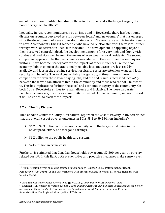end of the economic ladder, but also on those in the upper end – the larger the gap, the poorer *everyone's* health is<sup>49</sup>.

Inequality in resort communities can be an issue and in Revelstoke there has been some discussion around a perceived tension between 'locals' and 'newcomers' that has emerged since the development of Revelstoke Mountain Resort. The root cause of this tension seems to have 2 components. One is that people who have no relationship with the resort – either through work or recreation – feel disassociated. The development is happening beyond their perceived control. Indeed, the development is going for a very high-end 'look', with condos and land sites well beyond the means of even wealthy local residents. The second component appears to be that newcomers associated with the resort - either employees or visitors – have become 'scapegoats' for the impacts of other influences like the poor economy. Jobs in some of the traditionally reliable local industries are less readily available, and jobs in the growing service/hospitality sector are often low wage and lack security and benefits. The local cost of living has gone up, at times there is more competition for even these lower paying jobs, and the end result is increased *inequality* between those who can afford to live in the community and those who cannot – but want to. This has implications for both the social and economic integrity of the community. On both fronts, Revelstoke strives to remain diverse and inclusive. The more disparate people's incomes are, the more a community is divided. As the community moves forward, it will be critical to track these impacts.

# **5.2.2 The Big Picture**

The Canadian Centre for Policy Alternatives' report on the Cost of Poverty in BC determines that the overall cost of poverty outcomes in BC is \$8.1 to \$9.2 billion, including<sup>50</sup>:

- $\triangleright$  \$6.2 to \$7.3 billion in lost economic activity, with the largest cost being in the form of lost productivity and foregone earnings.
- $\ge$  \$1.2 billion to the public health care system.
- $\triangleright$  \$745 million in crime costs.

Further, it is estimated that Canadian households pay around \$2,300 per year on povertyrelated costs<sup>51</sup>. In this light, both preventative and proactive measures make sense – even

<sup>&</sup>lt;sup>49</sup> From, "Deciding what should be counted in Community Health: A Social Determinant of Health Perspective" (Oct 2010) – A one-day workshop with presenters: Eric Kowalksi & Theresa Hermary from Interior Health.

<sup>50</sup> Canadian Centre for Policy Alternatives, (July 2011), *Summary: The Cost of Poverty in BC* 51 Regional Municipality of Waterloo, (June 2010), *Building Resilient Communities: Understanding the Role of* the Regional Municipality of Waterloo in Poverty Reduction. Social Planning, Policy and Program Administration, The Regional Municipality of Waterloo.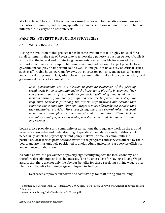at a local level. The cost of the outcomes caused by poverty has negative consequences for the entire community, and coming up with reasonable solutions within the local sphere of influence is in everyone's best interests.

# **PART SIX: POVERTY REDUCTION STRATEGIES**

# **6.1! WHO!IS!INVOLVED?**

During the evolution of this project, it has become evident that it is highly unusual for a small community the size of Revelstoke to undertake a poverty reduction strategy. While it is true that the federal and provincial governments are responsible for many of the supports that make an attempt to lift families and individuals out of abject poverty, local government can play an important role as well. Municipalities have a say on critical issues such as affordable housing, rental bylaws, transportation, policing, and access to leisure and cultural programs. In fact, when the entire community is taken into consideration, local government has a critical social role:

*Local) governments) are) in) a) position) to) promote) awareness) of) the) pressing)* social needs in the community and of the importance of social investment. They can foster a sense of responsibility for social well-being among all sectors including business, community groups and other levels of government. They can *help) build) relationships) among) the) diverse) organizations) and) sectors) that)* comprise the community. They can integrate more effectively the services that they themselves provide... More specifically, there are several roles that local *governments) can) play) in) creating) vibrant) communities.) These) include) exemplary)employer,)service)provider,)investor,)leader)and)champion,)convener) and)partner52.*

Local service providers and community organizations that regularly work on the ground have rich knowledge and understanding of specific circumstances and conditions not necessarily visible to physically distant policy makers. In smaller communities in particular, local service providers are aware of the programs and services offered by their peers, and are thus uniquely positioned to avoid redundancies, increase service efficiency and enhance collaboration.

As noted above, the prevalence of poverty significantly impacts the local economy, and therefore directly impacts local businesses. "The Business Case for Paying a Living Wage" asserts that there are not only the obvious benefits for those receiving a living wage, but a plethora of benefits for living wage employers, including<sup>53</sup>:

 $\triangleright$  Decreased employee turnover, and cost savings for staff hiring and training.

<sup>52</sup> Torjman, S. & Leviten-Reid, E. (March 2003), *The Social Role of Local Government.* Caledon Institute of Social Policy, page 6.

*<sup>53</sup>* www.firstcallbc.org/pdfs/lw/business%20case.pdf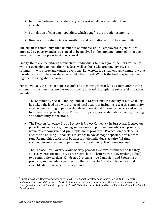- $\triangleright$  Improved job quality, productivity and service delivery, including lower absenteeism.
- $\triangleright$  Stimulation of consumer spending, which benefits the broader economy.
- $\triangleright$  Greater corporate social responsibility and reputation within the community.

The business community, the Chamber of Commerce, and all employers in general are impacted by poverty and as such need to be involved in the implementation of proactive measures to reduce poverty at a local level.

Finally, there are the citizens themselves – individuals, families, youth, seniors, residents who are struggling to meet their needs as well as those who are not. Poverty is a community-wide issue and touches everyone. Revelstoke is a small enough community that the whole area can be considered one 'neighbourhood'. What is the best way to partner together to bring about change?

For individuals, the idea of hope is significant to moving forward. As a community, strong community partnerships are the key to moving forward. Examples of successful initiatives include54:

- $\triangleright$  The Community Social Planning Council of Greater Victoria Quality of Life Challenge has taken the lead on a wide range of local activities including research, community engagement leading to partnership development and focused advocacy and action to reduce local poverty rates. Three priority areas are sustainable incomes, housing and community connections.
- $\triangleright$  The Newton Advocacy Group Society & Project Comeback in Surrey has focused on poverty law assistance, housing and income support, welfare advocacy program, women's empowerment & pre-employment programs. Project Comeback helps clients find housing & financial assistance to pay damage deposit & first months rent. Partnerships with local businesses help individuals acquire full-time sustainable employment to permanently break the cycle of homelessness.
- $\triangleright$  The Terrace Anti-Poverty Group Society provides welfare, disability and tenancy advocacy, Free Income Tax, a Free Store (like a Thrift Store but everything is free), two community gardens, Children's Christmas tree Campaign, and Food share program, and includes a partnership that allows the Society to have free food available daily plus a dental access fund.

<sup>&</sup>lt;sup>54</sup> Graham, Atkey, Reeves, and Goldberg (SPARC BC, Social Development Report Series 2009), *Poverty Reduction Policies and Programs, The Best Place on Earth?: Contemporary and Historical Perspectives on Poverty Reduction Policies and Programs in British Columbia.* Commissioned by the Canadian Council on Social Development.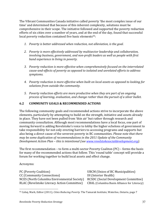The Vibrant Communities Canada initiative called poverty 'the most complex issue of our time' and determined that because of this inherent complexity, solutions must be comprehensive in their scope. The initiative followed and supported the poverty reduction efforts of six cities over a number of years, and at the end of the day, found that successful local poverty reduction contained five basic elements<sup>55</sup>:

- 1. Poverty is better addressed when reduction, not alleviation, is the goal.
- 2. Poverty is more effectively addressed by multisector leadership and collaboration, *involving business, government, and non-profit leaders as well as people with first hand experience in living in poverty.*
- 3. Poverty reduction is more effective when comprehensively focused on the interrelated cause-and-effects of poverty as opposed to isolated and unrelated efforts to address *symptoms.*
- 4. Poverty reduction is more effective when built on local assets as opposed to looking for solutions from outside the community.
- *5.* Poverty reduction efforts are more productive when they are part of an ongoing *process)of)learning,)evaluation, and)change)rather)than)the)pursuit)of)a)silver)bullet.*

# **6.2 COMMUNITY GOALS & RECOMMENDED ACTIONS**

The following community goals and recommended actions strive to incorporate the above elements, particularly by attempting to build on the strength, initiative and assets already in place. They have not been pulled from 'thin air' but rather through research and community consultation. Although most recommendations have a local focus, one part of moving forward is adding Revelstoke's voice to lobby the higher echelons of government to take responsibility for not only erecting barriers to accessing programs and supports but also being a direct cause of the severest poverty in BC communities. *Please note that there may be some duplication of recommendations in the 2011 Update of the Community Development Action Plan – this is intentional (see www.revelstokesocialdevelopment.org).* 

The first recommendation – to form a multi-sector Poverty Coaliton (PC) – forms the basis for many of the recommended actions that follow. This 'round table' concept will provide a forum for working together to build local assets and effect change.

Acronyms:

PC (Poverty Coalition) UBCM (Union of BC Municipalities) CC (Community Connections) IH (Interior Health) NCES (North Columbia Environmental Society) RCSDC (Social Development Committee) RLAC (Revelstoke Literacy Action Committee) CBAL (Columbia Basin Alliance for Literacy)

<sup>!!!!!!!!!!!!!!!!!!!!!!!!!!!!!!!!!!!!!!!!!!!!!!!!!!!!!!!</sup> 55 Cabaj, Mark, Editor (2011), *Cities Reducing Poverty.* The Tamarak Institute, Waterloo, Ontario, page 7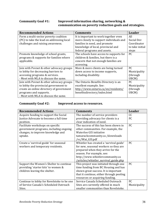# **Community Goal #1: Improved information sharing, networking &** communication on poverty reduction goals and strategies.

| <b>Recommended Actions</b>                | <b>Comments</b>                         | Leader          |
|-------------------------------------------|-----------------------------------------|-----------------|
| Form a multi-sector poverty coalition     | It is important to work together even   | All             |
| (PC) to take the lead on addressing local | more closely to support individuals and | Social Dev      |
| challenges and raising awareness.         | families in need, and promote           | Coordinator     |
|                                           | knowledge of local, provincial and      | to take initial |
|                                           | federal programs and assets.            | steps           |
| Promote knowledge of school grants,       | The schools have access to supports for | PC.             |
| programs & supports for families where    | children & families, but there is a     |                 |
| applicable.                               | concern that not enough families are    |                 |
|                                           | accessing.                              |                 |
| Join with Povnet & other advocacy groups  | More & more clients are being turned    | PC.             |
| to lobby for decreasing barriers to       | down access to income supports,         | Municipality    |
| accessing programs & services.            | including disability.                   | (through        |
| - Meet with MLA to discuss the same.      |                                         | UBCM)           |
| Join with Povnet & other advocacy groups  | The Ontario Benefits Directory is an    | PC.             |
| to lobby the provincial government to     | excellent example. See:                 | Municipality    |
| create an online directory of government  | http://www.ontario.ca/en/residents/     | (through        |
| programs and supports.                    | benefitsdirectory/index.html            | UBCM)           |
| - Meet with MLA to discuss the same.      |                                         |                 |

# **Community Goal #2: Improved access to resources.**

| <b>Recommended Actions</b>                 | <b>Comments</b>                          | <b>Leader</b> |
|--------------------------------------------|------------------------------------------|---------------|
| Acquire funding to support the Social      | The number of service providers          | cc            |
| Justice Advocate to become a full time     | providing advocacy for clients is a      | PC            |
| position.                                  | clear indication of need.                |               |
| Facilitate workshops on specific           | The success of this has been shown in    | <b>PC</b>     |
| government programs, including ongoing     | other communities. For example, the      |               |
| changes, to improve knowledge and          | Waterloo GIS initiative                  |               |
| uptake.                                    | tamarackcommunity.ca /downloads          |               |
|                                            | /vc/Wat_GIS.pdf                          |               |
| Create a 'survival guide' for seasonal     | Whistler has created a 'survival guide'  | PC            |
| workers and temporary residents.           | for new, seasonal workers so they are    |               |
|                                            | prepared when they arrive for the        |               |
|                                            | season. For example, see:                |               |
|                                            | http://www.whistlercommunity.ca          |               |
|                                            | /articles/whistler_survival_guide.php    |               |
| Support the Women's Shelter to continue    | This project was initiated through one   | PC            |
| providing 'starter kits' to women &        | time funding from BC Housing and has     |               |
| children leaving the shelter.              | shown great success. It is important     |               |
|                                            | that it continue, either through pooling |               |
|                                            | resources or acquiring funding.          |               |
| Continue to lobby for Revelstoke to be one | Service Canada Scheduled Outreach        | <b>PC</b>     |
| of Service Canada's Scheduled Outreach     | Sites are currently offered in much      | Municipality  |
| Sites.                                     | smaller communities than Revelstoke.     |               |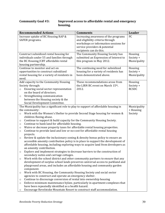# Community Goal #3: **Improved access to affordable rental and emergency housing.**

| <b>Recommended Actions</b>                                                                                                                                                                                                                                                                                                                                                                                                                                                                                                                                                                                                                                                                                                                                                                                                                                                                                                                                                                                                                                                                                                                                                                                                                                                                                                                                                                                                                                                                                                                                                                                                                                      | <b>Leader</b>                                                                                            |                                      |
|-----------------------------------------------------------------------------------------------------------------------------------------------------------------------------------------------------------------------------------------------------------------------------------------------------------------------------------------------------------------------------------------------------------------------------------------------------------------------------------------------------------------------------------------------------------------------------------------------------------------------------------------------------------------------------------------------------------------------------------------------------------------------------------------------------------------------------------------------------------------------------------------------------------------------------------------------------------------------------------------------------------------------------------------------------------------------------------------------------------------------------------------------------------------------------------------------------------------------------------------------------------------------------------------------------------------------------------------------------------------------------------------------------------------------------------------------------------------------------------------------------------------------------------------------------------------------------------------------------------------------------------------------------------------|----------------------------------------------------------------------------------------------------------|--------------------------------------|
| Increase uptake of BC Housing RAP &<br>SAFER programs.                                                                                                                                                                                                                                                                                                                                                                                                                                                                                                                                                                                                                                                                                                                                                                                                                                                                                                                                                                                                                                                                                                                                                                                                                                                                                                                                                                                                                                                                                                                                                                                                          | PC                                                                                                       |                                      |
| Construct subsidized rental housing for<br>individuals under 55 and families through<br>the BC Housing/CBT affordable rental<br>housing partnership.                                                                                                                                                                                                                                                                                                                                                                                                                                                                                                                                                                                                                                                                                                                                                                                                                                                                                                                                                                                                                                                                                                                                                                                                                                                                                                                                                                                                                                                                                                            | The Community Housing Society has<br>submitted an Expression of Interest to<br>this program in May 2012. | Housing<br>Society +<br>Municipality |
| Continue to monitor and act on<br>opportunities to construct subsidized<br>rental housing for a variety of residents in<br>need.                                                                                                                                                                                                                                                                                                                                                                                                                                                                                                                                                                                                                                                                                                                                                                                                                                                                                                                                                                                                                                                                                                                                                                                                                                                                                                                                                                                                                                                                                                                                | The continuing need for subsidized<br>housing for a variety of residents has<br>been demonstrated above. | Housing<br>Society +<br>Municipality |
| Add capacity to the Community Housing<br>Society through:<br>Ensuring social sector representation<br>$\circ$<br>on the board of directors.<br>Strengthening communication<br>O<br>between the Housing society & the<br>Social Development Committee.                                                                                                                                                                                                                                                                                                                                                                                                                                                                                                                                                                                                                                                                                                                                                                                                                                                                                                                                                                                                                                                                                                                                                                                                                                                                                                                                                                                                           | These recommendations arose from<br>the LIRN BC event on March 15th,<br>2012.                            | Housing<br>Society +<br><b>RCSDC</b> |
| The Municipality has a significant role to play to support of affordable housing in<br>the community:<br>Work with the Women's Shelter to provide Second Stage housing for women &<br>$\circ$<br>children fleeing abuse.<br>Continue to support & build capacity for the Community Housing Society.<br>$\circ$<br>Continue to bank land for affordable housing.<br>$\circ$<br>Waive or decrease property taxes for affordable rental housing properties.<br>$\circ$<br>Continue to provide land and low or no-cost for affordable rental housing<br>$\circ$<br>projects.<br>Review & update the inclusionary zoning & density bonus policy to ensure an<br>$\circ$<br>accessible amenity contribution policy is in place to support the development of<br>affordable housing, including exploring ways to acquire land from developers as<br>an amenity contribution.<br>Explore and implement strategies to decrease barriers to the construction of<br>$\circ$<br>secondary suites and carriage cottages.<br>Work with the school district and other community partners to ensure that any<br>$\circ$<br>development of surplus school lands preserves universal access to parkland and<br>playground areas, and includes an affordable housing and community garden<br>component.<br>Work with BC Housing, the Community Housing Society and social sector<br>$\circ$<br>agencies to construct and operate an emergency shelter.<br>Continue to discourage conversion of rental into ownership housing<br>O<br>Enforce minimum maintenance bylaw, particularly in apartment complexes that<br>$\circ$<br>have been repeatedly identified as a health hazard. |                                                                                                          | Municipality<br>+ Housing<br>Society |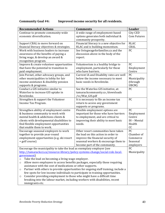# **Community Goal #4: Improved income security for all residents.**

| <b>Recommended Actions</b>                                                                                                                   | <b>Comments</b>                                                              | Leader       |  |  |
|----------------------------------------------------------------------------------------------------------------------------------------------|------------------------------------------------------------------------------|--------------|--|--|
| Continue to promote community-wide                                                                                                           | A wide range of employment-based                                             | City CED     |  |  |
| economic diversification.                                                                                                                    | options generates both individual &                                          |              |  |  |
|                                                                                                                                              | community prosperity.                                                        |              |  |  |
| Support CBAL to move forward on                                                                                                              | Financial literacy is a new objective for                                    |              |  |  |
| financial literacy objectives & strategies.                                                                                                  | RLAC and is building momentum.                                               | <b>CBAL</b>  |  |  |
| Work with business leaders to increase                                                                                                       | See livingwageforfamilies.ca and the                                         | PC           |  |  |
| awareness of the benefits of paying a                                                                                                        | discussion above in the body of the                                          |              |  |  |
| living wage, & develop an award &                                                                                                            | report.                                                                      |              |  |  |
| recognition program.                                                                                                                         |                                                                              |              |  |  |
| Improve & create volunteer opportunities                                                                                                     | Volunteerism is a healthy bridge to                                          | PC           |  |  |
| that have the potential to transition to                                                                                                     | employment, particularly for those                                           | Employment   |  |  |
| paid employment.                                                                                                                             | who have barriers.                                                           | Centre       |  |  |
| Join Povnet, other advocacy groups, and                                                                                                      | Current IA and Disability rates are well                                     | PC           |  |  |
| other municipalities to lobby for fair                                                                                                       | below the income necessary to meet                                           | Municipality |  |  |
| income assistance & disability pension                                                                                                       | basic needs in Revelstoke.                                                   | (through     |  |  |
| supports & programs.                                                                                                                         |                                                                              | UBCM)        |  |  |
| Conduct a GIS initiative similar to                                                                                                          | See the Waterloo GIS initiative, at:                                         | PC           |  |  |
| Waterloo to increase GIS uptake in                                                                                                           | tamarackcommunity.ca /downloads                                              |              |  |  |
| Revelstoke.                                                                                                                                  | /vc/Wat_GIS.pdf                                                              |              |  |  |
| Strengthen & support the Volunteer                                                                                                           | It is necessary to file an income tax                                        | PC           |  |  |
| Income Tax Program.                                                                                                                          | return to access any government                                              |              |  |  |
|                                                                                                                                              | supports or programs.                                                        |              |  |  |
| Strengthen ability of employment centre                                                                                                      | Flexible employment options are<br>important for those who have barriers     | <b>PC</b>    |  |  |
| & business community to work with                                                                                                            | Employment                                                                   |              |  |  |
| mental health & addictions clients &                                                                                                         | Centre                                                                       |              |  |  |
| clients with developmental disabilities to                                                                                                   | IH - Mental                                                                  |              |  |  |
| find flexible employment opportunities                                                                                                       | Health                                                                       |              |  |  |
| that enable them to work.                                                                                                                    |                                                                              | cc           |  |  |
| Encourage seasonal employers to work                                                                                                         | Other resort communities have taken                                          | PC           |  |  |
| together to provide year-round                                                                                                               | the lead on this action in order to                                          | Chamber of   |  |  |
| employment opportunities (e.g. ski resort                                                                                                    | improve the financial security of                                            | Commerce     |  |  |
| + golf course)                                                                                                                               | seasonal workers & encourage them to                                         | Seasonal     |  |  |
|                                                                                                                                              | become part of the community.                                                | employers    |  |  |
| Encourage the municipality to take the lead as exemplary employer (see                                                                       |                                                                              | PC           |  |  |
| http://tamarackcci.ca/resource-library/policy-systems-change/social-role-local-                                                              |                                                                              | Municipality |  |  |
| government)                                                                                                                                  |                                                                              |              |  |  |
| Take the lead on becoming a living wage employer.<br>$\circ$<br>Allow more employees to access benefits packages, especially those requiring |                                                                              |              |  |  |
| O<br>assistance with the cost of medications or other supports.                                                                              |                                                                              |              |  |  |
| Partner with others to provide opportunities for ongoing staff training; include a                                                           |                                                                              |              |  |  |
| $\circ$<br>few spots for low income individuals to participate in training opportunities.                                                    |                                                                              |              |  |  |
| Consider providing employment to those who might have a difficult time<br>O                                                                  |                                                                              |              |  |  |
|                                                                                                                                              |                                                                              |              |  |  |
|                                                                                                                                              | breaking into the labour market, including workers with disabilities, recent |              |  |  |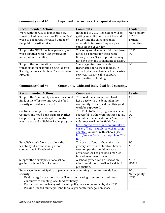# **Community Goal #5: Improved low cost local transportation options.**

| <b>Recommended Actions</b>                  | <b>Comments</b>                         | Leader       |
|---------------------------------------------|-----------------------------------------|--------------|
| Work with the City to launch the new        | In the fall of 2012, Revelstoke will be | Municipality |
| transit schedule with a free 'Ride the Bus' | getting an additional transit bus and   | <b>RCSDC</b> |
| week to encourage increased uptake of       | re-working the existing transit         | Transit      |
| the public transit service.                 | schedule to improve frequency and       | committee    |
|                                             | convenience of service.                 |              |
| Support the NCES free bike program, and     | The essay requirement of this has been  | <b>NCES</b>  |
| work together with NCES improve its         | noted as a barrier for those with       | PC.          |
| universal accessibility.                    | literacy issues. Service providers may  |              |
|                                             | not have the time or mandate to assist. |              |
| Support the continuation of other           | Some organizations provide              | PC           |
| transportation programs e.g. Child care     | transportation to those in need, in     |              |
| Society, Seniors Volunteer Transportation   | order to decrease barriers to accessing |              |
| Program.                                    | services. It is critical to support     |              |
|                                             | continuation of funding.                |              |

**Community Goal #6: Community-wide and individual food security.** 

| <b>Recommended Actions</b>                                                            | <b>Comments</b>                          | Leader       |
|---------------------------------------------------------------------------------------|------------------------------------------|--------------|
| Support the Community Connections Food                                                | The Food Bank has worked hard to         | All          |
| Bank in the efforts to improve the food                                               | keep pace with the demand in the         |              |
| security of residents in need.                                                        | community. It is critical that this good |              |
|                                                                                       | work be supported.                       |              |
| Continue to support Community                                                         | The 'Field to Table' program has been    | <b>PC</b>    |
| <b>Connections Food Bank Farmers Market</b>                                           | successful in other communities. It has  | cc           |
| Coupon program, and explore creative                                                  | a number of manifestations. Some use     | <b>NCES</b>  |
| ways to expand a 'Field to Table' program.                                            | volunteer work in the fields (see        |              |
|                                                                                       | http://www.cowichancommunitykitch        |              |
|                                                                                       | ens.org/field_to_table_cowichan_progr    |              |
|                                                                                       | am.html) or work with schools (see       |              |
|                                                                                       | http://www.foodshare.net/school02.h      |              |
|                                                                                       | tml)                                     |              |
| Establish a task force to explore the                                                 | The price of food at the mainstream      | PC           |
| feasibility of a establishing a food                                                  | grocery stores is prohibitive. Lower     | <b>NCES</b>  |
| cooperative in Revelstoke.                                                            | cost competition could increase          |              |
|                                                                                       | options as well as provide a market      |              |
|                                                                                       | incentive to lower prices.               |              |
| Support the development of a school                                                   | A school garden can be used as an        | <b>NCES</b>  |
| garden on School District lands.                                                      | educational tool as well as local food   | SD#19        |
|                                                                                       | production.                              |              |
| Encourage the municipality to participate in promoting community-wide food            |                                          | <b>PC</b>    |
| security:                                                                             |                                          | Municipality |
| Explore regulatory tools that will assist in creating community conditions<br>$\circ$ | <b>NCES</b>                              |              |
| conducive to enabling local food resiliency.                                          |                                          |              |
| Pass a progressive backyard chicken policy, as recommended by the NCES.<br>$\circ$    |                                          |              |
| Provide unused municipal land for a larger community garden space.<br>$\circ$         |                                          |              |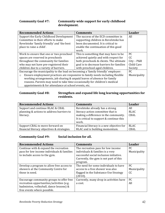# **Community Goal #7: Community-wide support for early childhood development.**

| <b>Recommended Actions</b>                                                               | <b>Comments</b>                           | Leader       |
|------------------------------------------------------------------------------------------|-------------------------------------------|--------------|
| Support the Early Childhood Development                                                  | The success of the ECD committee in       | All          |
| Committee in their efforts to make                                                       | supporting children in Revelstoke has     |              |
| Revelstoke 'family friendly' and 'the best                                               | been documented. It is critical to        |              |
| place to raise a child'.                                                                 | enable the continuation of this good      |              |
|                                                                                          | work.                                     |              |
| Work to ensure that one or two preschool                                                 | This is something that may have to be     | PC.          |
| spaces are reserved in preschools                                                        | achieved quietly and with respect for     | CC.          |
| throughout the community for families                                                    | both preschools & clients. The ultimate   | $City - P&R$ |
| who may not have pre-registered their                                                    | goal is to decrease barriers for families | Child Care   |
| children due to a variety of barriers.                                                   | with preschool aged children.             | Society      |
| Encourage the municipality to the lead on becoming a 'family friendly' employer:         | PC.                                       |              |
| Ensure employment practices are responsive to family needs including flexible<br>$\circ$ | Municipality                              |              |
| working arrangements, job sharing & unpaid leaves of absence for family                  |                                           |              |
| reasons. Parents may need to take time occasionally for children's medical               |                                           |              |
| appointments & for attendance at school events, etc.                                     |                                           |              |

### Community Goal #8: **Strengthen and expand life long learning opportunities for residents.**

| <b>Recommended Actions</b>                  | <b>Comments</b>                           | Leader      |
|---------------------------------------------|-------------------------------------------|-------------|
| Support and continue RLAC & CBAL            | Revelstoke already has a strong           | All         |
| planning & actions to address barriers to   | literacy action committee that is         | RLAC        |
| literacy.                                   | making a difference in the community.     |             |
|                                             | It is critical to support & continue this |             |
|                                             | work.                                     |             |
| Support CBAL to move forward on             | Financial literacy is a new objective for | <b>RLAC</b> |
| financial literacy objectives & strategies. | RLAC and is building momentum.            | CBAL        |

**Community Goal #9: Social inclusion for all.** 

| <b>Recommended Actions</b>                 | <b>Comments</b>                         | Leader       |
|--------------------------------------------|-----------------------------------------|--------------|
| Continue with & expand the recreation      | The recreation pass for low income      | PC.          |
| pass for low income individuals & families | individuals & families is a very        | Municipality |
| to include access to the gym.              | successful social inclusion initiative. |              |
|                                            | Currently, the gym is not part of this  |              |
|                                            | program.                                |              |
| Develop a program to allow free access to  | The need for some individuals to have   | PC.          |
| showers at the Community Centre for        | access to a free shower was also        | Municipality |
| those in need.                             | flagged in the Substance Use Strategy   | CC.          |
|                                            | (2010).                                 |              |
| Encourage community groups to offer free   | Currently, many drop in activities have | PC.          |
| recreation opportunities/activities (e.g.  | a cost.                                 | All          |
| badminton, volleyball, dance lessons) &    |                                         |              |
| free events where possible.                |                                         |              |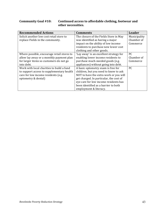# Community Goal #10: Continued access to affordable clothing, footwear and other necessities.

| <b>Recommended Actions</b>                 | <b>Comments</b>                         | Leader       |
|--------------------------------------------|-----------------------------------------|--------------|
| Solicit another low cost retail store to   | The closure of the Fields Store in May  | Municipality |
| replace Fields in the community.           | was identified as having a major        | Chamber of   |
|                                            | impact on the ability of low income     | Commerce     |
|                                            | residents to purchase new lower cost    |              |
|                                            | clothing and other goods.               |              |
| Where possible, encourage retail stores to | 'Lay away' is an excellent strategy for | PC.          |
| allow lay away or a monthly payment plan   | enabling lower income residents to      | Chamber of   |
| for larger items so customers do not go    | purchase much-needed goods (e.g.        | Commerce     |
| into debt.                                 | appliances) without going into debt.    |              |
| Work with local charities to build a fund  | A basic optometry exam is free for      | PC.          |
| to support access to supplementary health  | children, but you need to know to ask   |              |
| care for low income residents (e.g.        | NOT to have the extra work or you will  |              |
| optometry & dental)                        | get charged. In particular, the cost of |              |
|                                            | eye care for low income residents has   |              |
|                                            | been identified as a barrier to both    |              |
|                                            | employment & literacy.                  |              |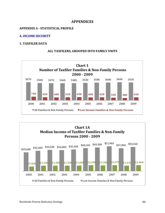## **APPENDICES**

#### **APPENDIX A - STATISTICAL PROFILE**

#### **A. INCOME SECURITY**

#### **1. TAXFILER DATA**



#### **ALL TAXFILERS, GROUPED INTO FAMILY UNITS**

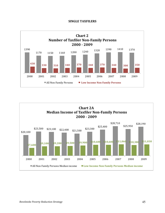#### **SINGLE TAXFILERS**



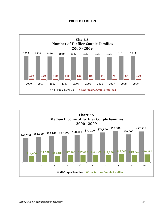#### **COUPLE!FAMILIES**



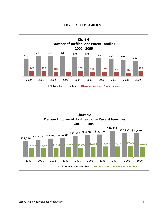#### **LONE-PARENT FAMILIES**



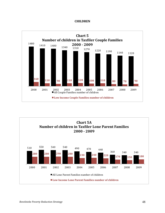#### **CHILDREN**



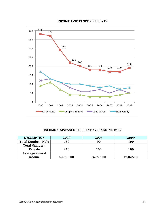

# **INCOME ASSISTANCE RECIPIENTS**

#### **INCOME ASSISTANCE RECIPIENT AVERAGE INCOMES**

| <b>DESCRIPTION</b>        | 2000       | 2005       | 2009       |  |
|---------------------------|------------|------------|------------|--|
| <b>Total Number -Male</b> | 180        | 90         | 100        |  |
| <b>Total Number -</b>     |            |            |            |  |
| <b>Female</b>             | 210        | <b>100</b> | <b>100</b> |  |
| Average annual            |            |            |            |  |
| income                    | \$4,933.00 | \$6,926.00 | \$7,026.00 |  |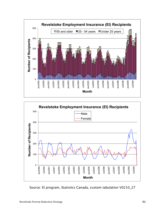



Source: EI program, Statistics Canada, custom tabulation V0210\_27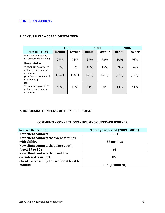# **B. HOUSING SECURITY**

|                                                                       |               | 1996  | 2001   |              |        | 2006  |
|-----------------------------------------------------------------------|---------------|-------|--------|--------------|--------|-------|
| <b>DESCRIPTION</b>                                                    | <b>Rental</b> | Owner | Rental | <b>Owner</b> | Rental | Owner |
| % of rental housing<br>vs. ownership housing                          | 27%           | 73%   | 27%    | 73%          | 24%    | 76%   |
| <b>Revelstoke</b>                                                     |               |       |        |              |        |       |
| % spending over 30%<br>of household income                            | 36%           | 9%    | 41%    | 15%          | 33%    | 16%   |
| on shelter<br>(number of households)<br>in brackets)                  | (130)         | (155) | (350)  | (335)        | (246)  | (376) |
| <b>BC</b><br>% spending over 30%<br>of household income<br>on shelter | 42%           | 18%   | 44%    | 20%          | 43%    | 23%   |

## **1. CENSUS DATA – CORE HOUSING NEED**

# **2. BC HOUSING HOMELESS OUTREACH PROGRAM**

## **COMMUNITY!CONNECTIONS!– HOUSING!OUTREACH!WORKER**

| <b>Service Description</b>                 | <b>Three year period (2009 - 2011)</b> |
|--------------------------------------------|----------------------------------------|
| <b>New client contacts</b>                 | $170+$                                 |
| New client contacts that were families     |                                        |
| with children                              | 38 families                            |
| New client contacts that were youth        |                                        |
| (aged 19 to 30)                            | 61                                     |
| New client contacts that could be          |                                        |
| considered transient                       | 8%                                     |
| Clients successfully housed for at least 6 |                                        |
| months                                     | 114 (+children)                        |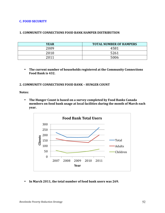## **C.!FOOD!SECURITY**

#### **1. COMMUNITY CONNECTIONS FOOD BANK HAMPER DISTRIBUTION**

| <b>YEAR</b> | <b>TOTAL NUMBER OF HAMPERS</b> |
|-------------|--------------------------------|
| 2009        | 4581                           |
| 2010        | 5261                           |
| 2011        | 5006                           |

• The current number of households registered at the Community Connections Food Bank is 432.

#### **2. COMMUNITY CONNECTIONS FOOD BANK - HUNGER COUNT**

**Notes:**

• The Hunger Count is based on a survey completed by Food Banks Canada **members on food bank usage at local facilities during the month of March each year.**



• In March 2011, the total number of food bank users was 269.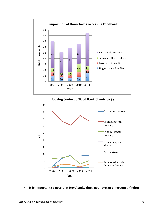

• It is important to note that Revelstoke does not have an emergency shelter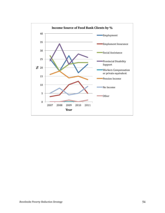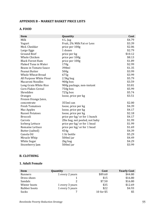# **APPENDIX B - MARKET BASKET PRICE LISTS**

# **A.!FOOD**

| Item                         | Quantity                       | Cost    |
|------------------------------|--------------------------------|---------|
| Milk                         | 4 L. Jug                       | \$4.79  |
| Yogurt                       | Fruit, 2% Milk Fat or Less     | \$3.39  |
| Med. Cheddar                 | price per 100g                 | \$2.06  |
| Large Eggs                   | 1 dozen                        | \$2.79  |
| <b>Ground Beef</b>           | price per kg                   | \$10.12 |
| Whole Chicken                | price per 100g                 | \$8.13  |
| <b>Black Forest Ham</b>      | price per 100g                 | \$1.89  |
| Flaked Tuna in Water         | 170 <sub>g</sub>               | \$2.99  |
| <b>Beans in Tomato Sauce</b> | 398ml                          | \$1.35  |
| <b>Peanut Butter</b>         | 500 <sub>g</sub>               | \$3.99  |
| <b>Whole Wheat Bread</b>     | 675g                           | \$3.99  |
| All Purpose White Flour      | 2.5kg bag                      | \$5.79  |
| Macaroni Noodles             | 900g box                       | \$3.59  |
| Long Grain White Rice        | 900g package, non-instant      | \$3.81  |
| <b>Corn Flakes Cereal</b>    | 750g box                       | \$5.99  |
| Shreddies                    | 725g box                       | \$5.74  |
| Oranges                      | loose, price per kg            | \$3.51  |
| Frozen Orange Juice,         |                                |         |
| concentrate                  | 355ml can                      | \$2.00  |
| <b>Fresh Tomatoes</b>        | loose, price per kg            | \$4.39  |
| Mac Apples                   | loose, price per kg            | \$4.17  |
| <b>Russet Potatoes</b>       | loose, price per kg            | \$2.18  |
| <b>Broccoli</b>              | price per kg/ or for 1 bunch   | \$4.17  |
| Carrots                      | 2lbs bag, not peeled, not baby | \$1.99  |
| Iceberg Lettuce              | price per kg/ or for 1 head    | \$1.99  |
| Romaine Lettuce              | price per kg/ or for 1 head    | \$1.69  |
| Butter (salted)              | 454g                           | \$4.39  |
| Canola Oil                   | 1 ltr bottle                   | \$5.29  |
| Miracle Whip                 | 500ml jar                      | \$4.49  |
| White Sugar                  | 2kg bag                        | \$4.29  |
| Strawberry Jam               | 500ml jar                      | \$3.99  |

# **B. CLOTHING**

# **1. Adult Female**

| Item         | Quantity        | Cost       | <b>Yearly Cost</b> |
|--------------|-----------------|------------|--------------------|
| Runners      | 1 every 2 years | \$89.60    | \$44.80            |
| Dress shoes  |                 | \$15       | \$16.80            |
| Sandals      |                 | \$7.50     | \$16.80            |
| Winter boots | 1 every 3 years | \$35       | \$12.69            |
| Rubber boots | 1 every 5 years | \$22       | \$4.93             |
| Socks        |                 | 10 for \$5 | \$5                |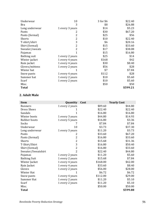| Underwear      | 10              | 3 for \$6 | \$22.40  |
|----------------|-----------------|-----------|----------|
| Bra            | 3               | \$8       | \$26.88  |
| Long underwear | 1 every 3 years | \$14      | \$5.23   |
| Pants          | 2               | \$30      | \$67.20  |
| Pants (formal) | 2               | \$25      | \$56     |
| Shorts         | 2               | \$10      | \$22.40  |
| T-shirt/shirt  | 3               | \$6       | \$20.16  |
| Shirt (formal) | 2               | \$15      | \$33.60  |
| Sweater/sweats | $\overline{2}$  | \$17      | \$38.08  |
| Pajamas        | 1               | \$15      | \$16.80  |
| Bathing suit   | 1 every 2 years | \$25      | \$14     |
| Winter jacket  | 1 every 4 years | \$168     | \$42     |
| Rain jacket    | 1 every 4 years | \$30      | \$8.40   |
| Gloves/mittens | 1 every 2 years | \$56      | \$28     |
| Winter hat     | 1               | \$7       | \$7.84   |
| Snow pants     | 1 every 4 years | \$112     | \$28     |
| Summer hat     | 1 every 2 years | \$10      | \$5.60   |
| Scarf          | 1 every 2 years | \$10      | \$5.60   |
| Misc.          |                 | \$50      | \$50     |
| <b>Total</b>   |                 |           | \$599.21 |

# **2. Adult Male**

| Item                | Quantity        | Cost     | <b>Yearly Cost</b> |
|---------------------|-----------------|----------|--------------------|
| Runners             | 1 every 2 years | \$89.60  | \$44.80            |
| Dress Shoes         | 1               | \$22.40  | \$22.40            |
| Sandals             | 1               | \$16.80  | \$16.80            |
| Winter boots        | 1 every 3 years | \$44.80  | \$14.93            |
| Rubber boots        | 1 every 5 years | \$16.80  | \$3.36             |
| Socks               | 7               | \$7.84   | \$7.84             |
| Underwear           | 10              | \$3.73   | \$37.30            |
| Long underwear      | 1 every 3 years | \$11.20  | \$3.73             |
| Pants               | 2               | \$33.60  | \$67.20            |
| Pants (formal)      | $\overline{2}$  | \$16.80  | \$33.60            |
| Shorts              | $\overline{2}$  | \$15.68  | \$31.36            |
| T-Shirt/Shirt       | 3               | \$16.80  | \$50.40            |
| Shirt (formal)      | $\overline{2}$  | \$16.80  | \$33.60            |
| Sweater/Sweatshirt  | $\overline{2}$  | \$22.40  | \$44.80            |
| Pajamas             | 1 every 2 years | \$11.20  | \$5.60             |
| <b>Bathing Suit</b> | 1 every 2 years | \$15.68  | \$7.84             |
| Winter Jacket       | 1 every 4 years | \$168.00 | \$42.00            |
| Rain Jacket         | 1 every 4 years | \$33.60  | \$8.40             |
| Gloves              | 1 every 2 years | \$56.00  | \$28.00            |
| Winter Hat          | 1               | \$6.72   | \$6.72             |
| Snow pants          | 1 every 4 years | \$112.00 | \$29.00            |
| Summer Hat          | 1 every 2 years | \$11.20  | \$5.10             |
| Scarf               | 1 every 2 years | \$11.20  | \$5.10             |
| Misc.               |                 | \$50.00  | \$50.00            |
| <b>Total</b>        |                 |          | \$599.88           |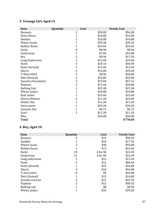# **3. Teenage Girl, Aged 15**

| Item                | Quantity       | Cost    | <b>Yearly Cost</b> |
|---------------------|----------------|---------|--------------------|
| Runners             | $\overline{2}$ | \$28.00 | \$56.00            |
| <b>Dress Shoes</b>  | $\mathbf{1}$   | \$16.80 | \$16.80            |
| Sandals             | $\mathbf{1}$   | \$16.80 | \$16.80            |
| Winter boots        | $\mathbf{1}$   | \$39.20 | \$39.20            |
| <b>Rubber Boots</b> | $\mathbf{1}$   | \$24.64 | \$24.64            |
| Socks               | 8              | \$8.96  | \$8.96             |
| Underwear           | 7              | \$7.84  | \$54.88            |
| <b>Bra</b>          | $\overline{2}$ | \$8.96  | \$17.92            |
| Long Underwear      | $\overline{2}$ | \$12.00 | \$24.00            |
| Pants               | 3              | \$20.16 | \$60.48            |
| Pants (formal)      | $\mathbf{1}$   | \$13.44 | \$13.44            |
| Shorts              | $\overline{c}$ | \$16.80 | \$33.60            |
| T-Shirt/Shirt       | 5              | \$8.96  | \$44.80            |
| Shirt (formal)      | $\overline{c}$ | \$16.80 | \$33.60            |
| Sweater/Sweatshirt  | 3              | \$19.04 | \$57.12            |
| Pajamas             | $\overline{2}$ | \$13.44 | \$26.88            |
| <b>Bathing Suit</b> | $\mathbf{1}$   | \$22.40 | \$22.40            |
| Winter Jacket       | $\mathbf{1}$   | \$44.80 | \$44.80            |
| Rain Jacket         | $\mathbf{1}$   | \$33.60 | \$33.60            |
| Gloves/Mittens      | $\overline{2}$ | \$11.20 | \$22.40            |
| Winter Hat          | $\mathbf{1}$   | \$11.20 | \$11.20            |
| Snow pants          | $\mathbf{1}$   | \$39.20 | \$39.20            |
| Summer Hat          | $\mathbf{1}$   | \$6.72  | \$6.72             |
| Scarf               | $\mathbf{1}$   | \$11.20 | \$11.20            |
| Misc.               |                | \$50.00 | \$50.00            |
| <b>Total</b>        |                |         | \$778.00           |

# **4. Boy, Aged 10**

| Item           | Quantity       | Cost      | <b>Yearly Cost</b> |
|----------------|----------------|-----------|--------------------|
| Runners        | 4              | \$13      | \$58.24            |
| Sandals        | $\mathbf{1}$   | \$16      | \$17.92            |
| Winter boots   | $\mathbf{1}$   | \$40      | \$44.80            |
| Rubber boots   | 1              | \$13      | \$14.56            |
| Socks          | 20             | 6 for \$6 | \$22.40            |
| Underwear      | 12             | 3 for \$5 | \$22.49            |
| Long underwear | 1              | \$12      | \$13.44            |
| Pants          | 6              | \$12      | \$80.64            |
| Pants (formal) | 1              | \$15      | \$16.80            |
| Shorts         | $\overline{4}$ | \$10      | \$44.80            |
| T-shirt/shirt  | 8              | \$5       | \$44.80            |
| Shirt (formal) | $\mathbf{1}$   | \$15      | \$16.80            |
| Sweater/sweats | 4              | \$12      | \$43.76            |
| Pajamas        | 3              | \$12      | \$40.32            |
| Bathing suit   | $\mathbf{1}$   | \$8       | \$8.96             |
| Winter jacket  | 1              | \$35      | \$39.20            |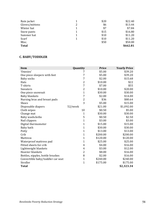| Rain jacket    |   | \$20 | \$22.40  |
|----------------|---|------|----------|
| Gloves/mittens | 2 | \$6  | \$13.44  |
| Winter hat     | 1 | \$7  | \$7.84   |
| Snow pants     |   | \$15 | \$16.80  |
| Summer hat     |   | \$10 | \$11.20  |
| Scarf          |   | \$10 | \$11.20  |
| Misc.          |   | \$50 | \$50.00  |
| <b>Total</b>   |   |      | \$662.81 |

# **C.!BABY/TODDLER!**

| Item                              | Quantity       | Price    | <b>Yearly Price</b> |
|-----------------------------------|----------------|----------|---------------------|
| 'Onesies'                         | 7              | \$5.00   | \$39.20             |
| One piece sleepers with feet      | 7              | \$5.00   | \$39.20             |
| Baby socks                        | 7              | \$2.00   | \$15.68             |
| Hats                              | $\overline{c}$ | \$10.00  | \$22                |
| T-shirts                          | 7              | \$7.00   | \$55                |
| Sweaters                          | $\overline{c}$ | \$10.00  | \$20.00             |
| One piece snowsuit                | $\mathbf{1}$   | \$30.00  | \$30.00             |
| <b>Baby blankets</b>              | $\overline{7}$ | \$2.00   | \$14.00             |
| Nursing bras and breast pads      | $\overline{2}$ | \$36     | \$80.64             |
| Shoes                             | 3              | \$5.00   | \$15.00             |
| Disposable diapers                | 52/week        | \$21.00  | \$1,092.00          |
| Cloth wipes                       | 10             | \$0.50   | \$5.00              |
| Change mat                        | $\mathbf{1}$   | \$30.00  | \$30.00             |
| Baby washcloths                   | 5              | \$0.50   | \$2.50              |
| Nail clippers                     | $\mathbf{1}$   | \$3.00   | \$3.00              |
| Digital thermometer               | $\mathbf{1}$   | \$15.00  | \$15.00             |
| Baby bath                         | $\mathbf{1}$   | \$30.00  | \$30.00             |
| Potty                             | $\mathbf{1}$   | \$13.00  | \$13.00             |
| Crib                              | $\mathbf{1}$   | \$200.00 | \$200.00            |
| <b>Mattress</b>                   | $\mathbf{1}$   | \$120.00 | \$120.00            |
| Waterproof mattress pad           | $\mathbf{1}$   | \$25.00  | \$25.00             |
| Fitted sheets for crib            | 4              | \$4.00   | \$16.00             |
| Lightweight blankets              | 4              | \$3.00   | \$12.00             |
| Heavier blankets                  | $\overline{2}$ | \$8.00   | \$16.00             |
| Bottles, nipples, bottle brushes  | 8              | \$2.00   | \$16.00             |
| Convertible baby/toddler car seat | $\mathbf{1}$   | \$240.00 | \$240.00            |
| Stroller                          | $\mathbf{1}$   | \$175.00 | \$175.00            |
| <b>Total</b>                      |                |          | \$2,323.34          |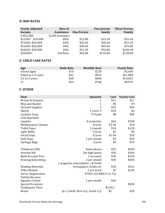# **D.!MSP!RATES**

| <b>Yearly Adjusted</b><br>Income | Rate of<br><b>Assistance</b> | <b>One Person</b> | Two person<br>family | <b>Three Person</b><br>Family |
|----------------------------------|------------------------------|-------------------|----------------------|-------------------------------|
| $0 - $22,000$                    | %100 assistance              |                   |                      |                               |
|                                  |                              |                   |                      |                               |
| $$22,001 - $24,000$              | 80%                          | \$12.80           | \$23.20              | \$25.60                       |
| \$24,001-\$26,000                | 60%                          | \$25.60           | \$46.40              | \$51.20                       |
| \$26,001-\$28,000                | 40%                          | \$38.40           | \$69.60              | \$76.80                       |
| \$28,001-\$30,000                | 20%                          | \$51.20           | \$92.80              | \$102.40                      |
| $$30,000+$                       | <b>Full Rate</b>             | \$64.00           | \$116.00             | \$128.00                      |

### **E. CHILD CARE RATES**

| Age                 | <b>Daily Rate</b> | <b>Monthly Rate</b> | <b>Yearly Rate</b> |
|---------------------|-------------------|---------------------|--------------------|
| School Aged         | \$10              | \$220               | \$2,640            |
| Infant to 2.5 years | \$42              | \$924               | \$11,088           |
| 2.5 to 3 years      | \$38              | \$836               | \$10,032           |
| $3+$                | \$34              | \$748               | \$8,976            |

# **F.!OTHER**

| <b>Item</b>                | Quantity                             | Cost     | <b>Yearly Cost</b> |
|----------------------------|--------------------------------------|----------|--------------------|
| Broom & Dustpan            | 1                                    | \$11     | \$11               |
| Mop and Bucket             | $\mathbf{1}$                         | \$9      | \$9                |
| Vacuum Supplies            | $\overline{2}$                       | \$22     | \$44               |
| Shovel                     | 1 every 3                            | \$18     | \$6                |
| Laundry Soap               | 75 loads                             | \$8      | \$48               |
| Coin Operated              |                                      |          |                    |
| Laundry                    | 8 wash/dry                           | \$64     | \$768              |
| Multipurpose Cleaner       | 4/year                               | \$2.50   | \$10               |
| <b>Toilet Paper</b>        | $1/m$ onth                           | \$10     | \$120              |
| <b>Light Bulbs</b>         | 3/year                               | \$2      | \$6                |
| <b>Facial Soap</b>         | $4$ /year                            | \$2.50   | \$10               |
| Dish Soap                  | 1 per month                          | \$3      | \$36               |
| Garbage Bags               | 3/year                               | \$5      | \$15               |
| Telephone bills            | home phone                           | \$25     | \$300              |
| Internet bill              | lite high speed                      | \$30     | \$360              |
| <b>Bank Account Fees</b>   | 2 accounts                           | \$20     | \$240              |
| <b>Evening babysitting</b> | 2 per month                          | \$50     | \$600              |
|                            | 1 magazine subscription + \$15mth    |          |                    |
| <b>Reading Materials</b>   | newspapers, books etc                | \$18     | \$216              |
| Video Rentals              | 1 per week                           | \$5      | \$240              |
| <b>Soccer Registration</b> | $$70(5-10) $80(11 \text{ to } 13)$   |          |                    |
| Family day pass            |                                      |          |                    |
| <b>Aquatics Centre</b>     | 2 per month                          | \$26     |                    |
| <b>Special Occasions</b>   |                                      |          | \$200              |
| Toothpaste, Floss          |                                      | \$2/\$1/ |                    |
| <b>Brush</b>               | tp-1/2mth, floss $4/y$ , brush $2/y$ | \$2      | \$20               |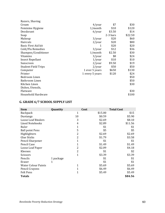| Razors, Shaving            |                 |            |         |
|----------------------------|-----------------|------------|---------|
| Cream                      | $4$ /year       | \$7        | \$30    |
| Feminine Hygiene           | $1/m$ onth      | \$10       | \$120   |
| Deodorant                  | $6$ /year       | \$3.50     | \$14    |
| Soap                       |                 | $2-3$ bars | \$22.50 |
| Makeup                     | $3$ /year       | \$20       | \$60    |
| Haircuts                   | $2$ /year       | \$20       | \$80    |
| Basic First Aid kit        | 1               | \$20       | \$20    |
| Cold/Flu Remedies          | $3$ /year       | \$12       | \$36    |
| Shampoo/Conditioner        | $1/m$ onth      | \$2.50     | \$30    |
| Vitamins                   | $3$ /year       | \$8        | \$24    |
| Insect Repellant           | $1$ /year       | \$10       | \$10    |
| Sunscreen                  | $2$ /year       | \$9.50     | \$19    |
| <b>Student Field Trips</b> | $2$ /year       | \$50       | \$50    |
| Computer                   | 1 ever 5 years  | \$650      | \$130   |
| Printer                    | 1 every 5 years | \$120      | \$24    |
| Bedroom Linen              |                 |            | \$50    |
| Bathroom Linen             |                 |            | \$50    |
| Kitchen Linen              |                 |            | \$30    |
| Dishes, Utensils,          |                 |            |         |
| Flatware                   |                 |            | \$30    |
| Household Hardware         |                 |            | \$100   |

# **G. GRADE 6/7 SCHOOL SUPPLY LIST**

| <b>Item</b>                | Quantity  | Cost           |         | <b>Total Cost</b> |
|----------------------------|-----------|----------------|---------|-------------------|
| Backpack                   |           | 1              | \$15.00 | \$15              |
| Duotangs                   |           | 10             | \$0.59  | \$5.90            |
| Loose Leaf Binders         |           | 3              | \$2.69  | \$8.10            |
| <b>Lined Notebooks</b>     |           | 4              | \$2.89  | \$11.56           |
| Ruler                      |           | 1              | \$1     | \$1               |
| <b>Ball point Pens</b>     |           | 5              | \$5     | \$5               |
| Highlighters               |           | $\overline{2}$ | \$2.69  | \$2.69            |
| Glue Sticks                |           | $\overline{2}$ | \$1.79  | \$3.58            |
| Pencil Sharpener           |           | 1              | \$1     | \$1               |
| Pencil Case                |           | 1              | \$1.49  | \$1.49            |
| Loose Leaf Paper           |           | 2              | \$2.09  | \$4.18            |
| Kleenex                    |           | 2              | \$1     | \$2               |
| Scissors                   |           | 1              | \$3.39  | \$3.39            |
| Pencils                    | 1 package |                | \$1     | \$1               |
| Eraser                     | 1         |                | \$1     | \$1               |
| <b>Water Colour Paints</b> |           | 1              | \$5.69  | \$5.69            |
| Pencil Crayons             |           | 1              | \$6.49  | \$6.49            |
| <b>Felt Pens</b>           |           | 1              | \$5.49  | \$5.49            |
| <b>Totals</b>              |           |                |         | \$84.56           |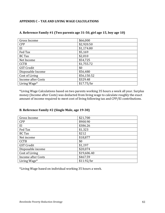# **APPENDIX C - TAX AND LIVING WAGE CALCULATIONS**

| Gross Income              | \$66,000    |
|---------------------------|-------------|
| <b>CPP</b>                | \$2,920.50  |
| EI                        | \$1,174.80  |
| Fed Tax                   | \$5,169     |
| <b>BC</b> Tax             | \$2,010     |
| Net Income                | \$54,725    |
| <b>CCTB</b>               | \$1,755.72  |
| <b>GST</b> Credit         | \$0         |
| Disposable Income         | \$56,480    |
| Cost of Living            | \$56,150.52 |
| <b>Income after Costs</b> | \$329.48    |
| Living Wage*              | \$17.75/hr  |

### A. Reference Family #1 (Two parents age 31-50, girl age 15, boy age 10)

\*Living Wage Calculations based on two parents working 35 hours a week all year. Surplus money (Income after Costs) was deducted from living wage to calculate roughly the exact amount of income required to meet cost of living following tax and CPP/EI contributions.

## **B. Reference Family #2 (Single Male, age 19-30)**

| Gross Income       | \$21,700    |
|--------------------|-------------|
| <b>CPP</b>         | \$900.90    |
| EI                 | \$386.26    |
| Fed Tax            | \$1,323     |
| BC Tax             | \$212       |
| Net income         | \$18,877    |
| <b>CCTB</b>        | \$0         |
| <b>GST Credit</b>  | \$1,197     |
| Disposable income  | \$20,074    |
| Cost of Living     | \$19,606.40 |
| Income after Costs | \$467.59    |
| Living Wage*       | \$11.92/hr  |

\*Living Wage based on individual working 35 hours a week.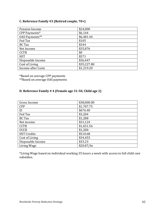# **C. Reference Family #3 (Retired couple, 70+)**

| Pension Income            | \$24,000    |
|---------------------------|-------------|
| CPP Payments*             | \$6,144     |
| 0AS Payments**            | \$6,481.44  |
| Fed Tax                   | \$105       |
| <b>BC Tax</b>             | \$344       |
| Net Income                | \$35,876    |
| <b>CCTB</b>               | \$0         |
| <b>HST</b>                | \$571       |
| Disposable Income         | \$36,447    |
| Cost of Living            | \$35,227.80 |
| <b>Income after Costs</b> | \$1,219.20  |

\*Based on average CPP payments

\*\*Based on average OAS payments

# **D. Reference Family #4 (Female age 31-50, Child age 2)**

| Gross Income       | \$38,000.00 |
|--------------------|-------------|
| <b>CPP</b>         | \$1,707.75  |
| EI                 | \$676.40    |
| Fed Tax            | \$3,204     |
| <b>BC</b> Tax      | \$1,288     |
| Net income         | \$31,124    |
| <b>CCTB</b>        | \$1,651.56  |
| <b>UCCB</b>        | \$1,200     |
| <b>HST</b> Credits | \$510.68    |
| Cost of Living     | \$34,453    |
| Disposable Income  | \$33.23     |
| Living Wage        | \$20.87/hr  |

\*Living Wage based on individual working 35 hours a week with access to full child care subsidies.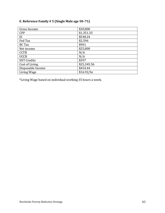# **E. Reference Family # 5 (Single Male age 50-71)**

| Gross Income       | \$30,800    |
|--------------------|-------------|
| <b>CPP</b>         | \$1,351.35  |
| EI                 | \$548.24    |
| Fed Tax            | \$2,596     |
| <b>BC</b> Tax      | \$901       |
| Net income         | \$25,800    |
| <b>CCTB</b>        | N/A         |
| <b>UCCB</b>        | N/A         |
| <b>HST</b> Credits | \$397       |
| Cost of Living     | \$25,345.56 |
| Disposable Income  | \$454.44    |
| Living Wage        | \$16.92/hr  |

\*Living Wage based on individual working 35 hours a week.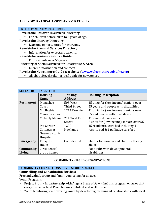# **APPENDIX!D!– LOCAL!ASSETS!AND!STRATEGIES**

# **FREE COMMUNITY RESOURCES Revelstoke Children's Services Directory** • For children before birth to 6 years of age. **Revelstoke!Literacy!Directory** • Learning opportunities for everyone. **Revelstoke!Prenatal!Services!Directory** • Information for expectant parents. **Revelstoke Seniors Resource Guide** • For residents over 55 years **Directory of Social Services for Revelstoke & Area** • Current information and contacts **Revelstoke Newcomer's Guide & website (www.welcometorevelstoke.org)**

• All about Revelstoke – a local guide for newcomers

| <b>SOCIAL HOUSING STOCK</b> |                |                 |                                          |
|-----------------------------|----------------|-----------------|------------------------------------------|
|                             | <b>Housing</b> | <b>Housing</b>  | <b>Housing Description</b>               |
|                             | <b>Name</b>    | <b>Address</b>  |                                          |
| Permanent                   | Monashee       | 505 West        | 45 units for (low income) seniors over   |
|                             | Court          | Third Street    | 55 years and people with disabilities    |
|                             | Mt. Begbie     | 1214 Downie     | 41 units for (low income) seniors over   |
|                             | Manor & Villas |                 | 55 and people with disabilities          |
|                             | Moberly Manor  | 711 West First  | 11 assisted living units                 |
|                             |                | Street          | 8 units for (low income) seniors over 55 |
|                             | Mt. Cartier    | 1200            | 45 residential care bed including 1      |
|                             | Cottages at    | <b>Newlands</b> | respite bed & 1 palliative care bed      |
|                             | Queen Victoria |                 |                                          |
|                             | Hospital       |                 |                                          |
| <b>Emergency</b>            | Forsythe       | Confidential    | Shelter for women and children fleeing   |
|                             | House          |                 | abuse                                    |
| Community                   | 2 residential  |                 | For adults with developmental            |
| Living                      | group homes    |                 | disabilities                             |

# **COMMUNITY-BASED ORGANIZATIONS**

### **COMMUNITY CONNECTIONS REVELSTOKE SOCIETY**

**Counselling and Consultation Services** 

Free individual, group and family counseling for all ages

Youth Programs

- Project Prom In partnership with Angela Brule of *Sew What* this program ensures that everyone can attend Prom feeling confident and well dressed.
- Youth Mentoring-empowering youth by developing meaningful relationships with local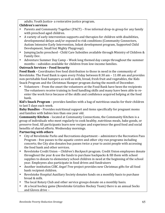adults. Youth Justice- a restorative justice program.

# **Children's!services**

- Parents and Community Together (PACT) Free informal drop-in group for any family with preschool aged children.
- A variety of early intervention supports and therapies for children with disabilities, developmental delays and/or exposed to risk conditions (Community Connectors, Autism Intensive Early Intervention, Infant development program, Supported Child Development, Small but Mighty Playgroup).
- Jumping Jacks preschool Child Care Subsidies available through Ministry of Children & Family Dev.
- Adventure Summer Day Camp Week long themed day camps throughout the summer months – subsidies available for children from low-income families.

# **Outreach!Services – Food!Security**

Food Bank – Coordinates free food distribution to those in need in the community of Revelstoke. The Food Bank is open every Friday between 8:30 am – 11:00 am and provides non-perishable food hampers as well as milk, bread, fresh fruit and vegetables, the Kids Snack Program and the Christmas Hamper program during the month of December.

• Volunteers - From the onset the volunteers at the Food Bank have been the recipients The volunteers receive training in food handling skills and many have been able to reenter the work force because of the skills and confidence acquired helping at the food bank.

**Kid's Snack Program** – provides families with a bag of nutritious snacks for their children to last 5 days each week.

**Baby Bundles** - Provides nutritional support and items specifically for pregnant moms and families with babies less than one year old.

**Community Kitchen** – located at Community Connections, the Community Kitchen is a group of individuals who meet regularly to cook healthy, nutritious meals, bake goods, or preserve food. All participants learn new recipes and experience the good food and social benefits of shared efforts. Wednesday mornings.

# **Partnering with others**

- City of Revelstoke Parks and Recreations department administers the Recreation Pass Program - free passes to the aquatic centre and other city-run programs including concerts; the City also donates bus passes twice a year to assist people with accessing the food bank and other services.
- Revelstoke Credit Union *Children's Backpack* program. Credit Union employees donate throughout the year  $&$  use the funds to purchase backpacks  $&$  fill them with school supplies to donate to elementary school children in need at the beginning of the school year. Employees also participate in food drives and fundraisers
- Another institution CIBC *Angel Tree* project provides new Christmas gifts for all food bank recipient children.
- Revelstoke Hospital Auxiliary Society donates funds on a monthly basis to purchase bread & milk.
- The local Rotary Club and other service groups donate on a monthly basis.
- At a local hockey game (Revelstoke Grizzlies Hockey Team) there is an annual Socks and Gloves drive –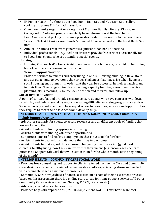- IH Public Health flu shots at the Food Bank; Diabetes and Nutrition Counsellor, cooking programs & information sessions.
- Other community organizations e.g. Heart & Stroke, Family Literacy, Okanagan College Adult Tutoring program regularly have information at the food bank.
- Bear Aware Fruit picking program provides fresh fruit in season to the Food Bank.
- Trees for Tots & BCAA raised funds & donated 16 new car seats to the Food Bank. See note
- Annual Christmas Train event generates significant food bank donations.
- Individual professionals e.g. local hairdressers provide free services occasionally for to Food Bank clients who are attending special events.

# **Housing**

**Housing Outreach Worker –** Assists persons who are homeless, or at risk of becoming homeless, to access housing in Revelstoke

# • **Tenant!Support!Worker!**

Provides services to tenants currently living in one BC Housing building in Revelstoke and assists tenants to overcome the various challenges that may arise when living in a social housing environment, in order that they can be successful in their tenancies, and in their lives. The program involves coaching, capacity building, assessment, service planning, skills teaching, resource identification and referral, and follow-up.

# **Social Justice Advocate**

A point of contact for, and provides assistance to, residents who have concerns with local, provincial, and federal social issues, or are having difficulty accessing programs & services. Social advocacy assists people to have equal access to resources, services and opportunities they require to meet their basic needs and develop fully.

# **INTERIOR HEALTH - MENTAL HEALTH, HOME & COMMUNITY CARE, Community Rehab!Support!Worker**

- Advocates regularly for clients to access resources and all different pools of funding that are available to them

- Assists clients with finding appropriate housing
- Assists clients with finding volunteer opportunities
- Supports clients to find realistic employment that is sustainable for them
- Assists clients to deal with and decrease their day to day stress

- Assists clients to make good choices around budgeting: healthy eating (good food choices), healthy living; how they can live within their means (e.g. encourages clients to purchase a Coopers Gift Card that will sustain them for the whole month, at the beginning of the month)

# **INTERIOR HEALTH - COMMUNITY CARE SOCIAL WORK**

- Provides free counselling and support to clients referred from Acute Care and Community Care; designated agency to assist older vulnerable adults experiencing abuse and neglect who are unable to seek assistance themselves

- Community Care always does a financial assessment as part of their assessment process based on this assessment there is a sliding scale to pay for home support services. All other Community Care services are free (Nursing, PT, OT, Dietician etc).

- Advocacy around access to resources

- Provides help with applications (OAP, BC Supplement, SAFER, Fair Pharmacare etc)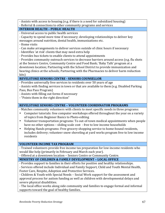- Assists with access to housing (e.g. if there is a need for subsidized housing)

- Referral & connections to other community programs and services

# **INTERIOR HEALTH - PUBLIC HEALTH**

- Universal access to public health services

- Capacity to spend more time if necessary; developing relationships to deliver key messages around nutrition, dental health, immunizations etc.

- Home visits
- Can make arrangements to deliver services outside of clinic hours if necessary
- Identifies 'at risk' clients that may need extra help
- Provides bus tickets to enable clients to attend appointments

- Provides community outreach services to decrease barriers around access (e.g. flu shots at the Seniors Centre, Community Centre and Food Bank; 'Baby Talk' program at a downtown location; Partnering with the School District to provide immunization and hearing clinics at the schools; Partnering with the Pharmacies to deliver harm reduction kits)

## **REVELSTOKE SENIORS CENTRE - SENIORS COUNSELLOR**

- Provides universally free services to residents over 50 years of age

- Assists with finding services in town or that are available to them (e.g. Disabled Parking Pass, Bus Pass Program)

- Assists with filling out forms if necessary
- "Points them in the right direction"

# **REVELSTOKE SENIORS CENTRE - VOLUNTEER COORDINATOR PROGRAMS**

- Matches community volunteers with clients to meet specific needs in three programs:
- Computer tutorials: free computer workshops offered throughout the year on a variety of topics from Beginner Basics to Photo-editing
- Volunteer transportation programs: To out-of-town medical appointments when people have no other options – sliding scale cost - free to low income households
- Helping Hands programs: Free grocery shopping service to home-bound residents, includes delivery; volunteer snow shoveling at yard works program free to low income residents

## **VOLUNTEER INCOME TAX PROGRAM**

- Trained volunteers provide free income tax preparation for low-income residents who would like help (primarily in February and March each year).

- Offered at a downtown location – Seniors Centre or Community Centre.

# **MINISTRY!OF!CHILDREN!&!FAMILY!DEVELOPMENT!– LOCAL!OFFICE**

- Provides support to families in their efforts for positive and healthy relationships.

- Services offered include Individual and Family Support, Child and Youth Mental Health, Foster Care, Respite, Adoption and Protective Services.

- Children & Youth with Special Needs – Social Work support for the assessment and approval process for autism funding as well as children with developmental delays and severe physical disabilities.

- The local office works along side community and families to engage formal and informal supports toward the goal of healthy families.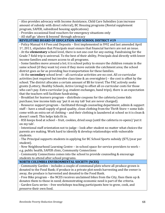- Also provides advocacy with Income Assistance, Child Care Subsidies (can increase amount of subsidy with direct referral), BC Housing programs (Rental supplement program, SAFER, subsidized housing applications)

- Provides occasional food vouchers for emergency situations only

- All staff go 'above & beyond' through advocacy

## REVELSTOKE BOARD OF EDUCATION AND SCHOOL DISTRICT #19

- Policy Manual 4.4 Fees and Deposits – first implemented in 1992 and last amended April  $1<sup>st</sup>$ , 2011, stipulates that Principals must ensure that financial barriers are not an issue. - At the **elementary** school level, there is not one cost for any outing. Fundraising for the Grade 7 field trip is universal. To the best of their ability, Principals deal directly with lower income families and ensure access to all programs.

- Some families move around a lot; it is school policy to ensure the children remain in the same school (if they want to) even if they move outside the catchment area; the school district goes as far as providing bus transportation for these families.

- At the **secondary** school level – all curricular activities are no cost. All co-curricular activities (not required but involve class time  $&$  an overnighter) – the cost is offset by the school. The district allocates a certain amount of \$\$ for travel. The PAC actively seeks grants (Lottery, Healthy Schools, Active Living) to offset all co-curricular costs for those who can't pay. Extra-curricular (e.g. student exchanges, band trips), there is an expectation that the teachers will facilitate fundraising.

- Breakfast for learners program – distribute coupons for the cafeteria (some kids purchase; low income kids say 'put it on my tab' but are never charged).

- Resource support program – facilitated through counseling department, admin & support staff – have a small supply of good quality, clean clothing from the Thrift Store + some kids come with an extra set of clothing – and their clothing is laundered at school so it is clean  $&$ doesn't smell. This helps kids fit in.

- RSS keeps food at school – fruit, cookies, dried soup (until the cafeteria re-opens) 'put it on my tab'.

- Intentional staff orientation not to judge – look after student no matter what choices the parents are making. Work hard to identify & develop relationships with vulnerable students.

- The Principal supports students in applying for BC School Sports subsidy (\$75/year per student).

- New Neighbourhood Learning Centre – in-school space for service providers to work – e.g. public health, SAFER clinic, Community Connections

- Community Connections comes into the school to provide counseling & encourage students to attend after school programs.

# **NORTH COLUMBIA ENVIRONMENTAL SOCIETY (NCES)**

- Community Garden – includes a couple of communal plots where all produce grown is donated to the Food Bank; if produce in a private plot needs harvesting and the owner is away, the produce is harvested and donated to the Food Bank.

- Free Bike program – the NCES receives unclaimed bikes from the City, fixes them up  $&$ donates them to those in need; demonstrating economic need is part of the criteria.

- Garden Guru series – free workshops teaching participants how to grow, cook, and preserve their own food.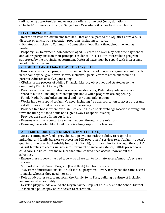- All learning opportunities and events are offered at no cost (or by donation).

- The NCES sponsors a library at Sanga Bean Café where it is free to sign out books.

## **CITY OF REVELSTOKE**

- Recreation Pass for low income families – free annual pass to the Aquatic Centre  $& 50\%$ discount on all city-run recreation programs, including concerts.

- Donates bus tickets to Community Connections Food Bank throughout the year as needed.

- Property Tax Deferment -homeowners aged 55 years and over may defer the payment of annual property taxes on their principal residence. This is a low interest loan program supported by the provincial government. Deferred taxes must be repaid with interest and an administration fee.

## **COLUMBIA!BASIN!ALLIANCE!FOR!LITERACY!(CBAL)**

- Universal access to all programs – no cost = a true mix of people, everyone is comfortable in the same space; group work is very inclusive. Special effort to reach out to men as parents. Adjusted as we've gone along.

- CBAL is in the process of adding Financial Literacy objectives and strategies to the Community District Literacy Plan

- Provides outreach information in several locations (e.g. PALS, story adventure kits)
- Word of mouth making sure that people know when programs are happening.
- Family Night Out includes one meal and nutritional information
- Works hard to respond to family's need, including free transportation to access programs (a staff drives around  $&$  picks people up if necessary)
- Provides free books where ever families are (e.g. free book exchange locations throughout town including the food bank, book 'give-aways' at special events)
- Provides assistance filling out forms
- Ensures one on one contact, seamless support through cross referrals
- Ensuring the availability of child care is a huge support for learners.

# **EARLY CHILDHOOD DEVELOPMENT COMMITTEE (ECD)**

- Access contingency fund – provides ECD providers with the ability to respond to individual and family barriers to accessing ECD programs & services (e.g. if a family doesn't qualify for the preschool subsidy but can't afford it); for those who 'fall through the cracks'. - Assist families to access subsidy info – prenatal financial assistance, SMILE, preschool & child care subsidies – we make sure that families who need access know about the subsidies.

- Ensure there is very little 'red tape' – do all we can to facilitate access/smooth/decrease barriers

- Supports the Kids Snack Program (Food Bank) for about 5 years

– A system of nutritious snacks is built into all programs – every family has the same access to snacks whether they need it or not

- Role as advocates (e.g. to maintain the Family Swim Pass, building a culture of inclusion and universal accessibility.

- Develop playgrounds around the City in partnership with the City and the School District – based on a philosophy of free access to recreation.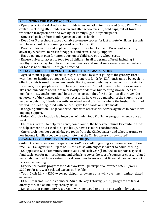## **REVELSTOKE CHILD CARE SOCIETY**

- Operates a standard sized van to provide transportation for: Licensed Group Child Care centres, including after kindergarten and after school pick up, field trips, out-of-town workshop transportation and weekly for Family Night Out participants.

- Universal pick up from Kindergarten at 2 of 4 schools.

- Keep 2 or 3 preschool spaces available to ensure spaces for last minute 'walk ins' (people who have a hard time planning ahead & can't afford it).

- Provide information and application support for Child Care and Preschool subsidies; advocacy & referral to MCFD for appeals and extra subsidy support.

- Have a payment plan for parent portion of child care or preschool costs.

- Ensure universal access to food for all children in all programs offered, including 2

healthy snacks a day, food to supplement lunches and sometimes, even breakfast. Asking for food is normalized – no stigma attached.

#### **ALLIANCE CHURCH + REVELSTOKE MINISTERIAL ASSOCIATION**

- Agreed to meet people's needs in regards to food by either going to the grocery stores with them or handing out food gift cards – generate funds by  $1X/m$ onth, take a benevolent offering – this is used to meet any needs. Don't give out cash; buy a meal or bus tickets for transients; local people – e.g. Purchasing furnace oil. Try not to use the funds for ongoing like rent. Immediate needs. Not necessarily confidential, but meeting known needs of members – e.g. single mom unable to buy school supplies for  $3$  kids – it's all through the generosity of the congregation – not necessarily have to be a member of the church to get help – neighbours, friends. Recently, received word of a family where the husband is out of work & she was diagnosed with cancer – gave food cards or make meals.

- If ongoing situation – help connect clients with other social service agencies to have more ongoing support.

- United Church – location is a huge part of their 'Soup & a Smile' program – lunch once a week.

- Churches rotate – to help transients, comes out of the benevolent fund. Or combine funds to help someone out (used to all get hit up, now it is more coordinated).

- One church member gets all day old foods from the Chalet bakery and takes it around to low income families/people in need (note that the Chalet bakery is now closed).

## **OKANAGAN COLLEGE REVELSTOKE CENTRE (OC)**

- Adult Academic & Career Preparation (AACP) – adult upgrading – all courses are tuition free; Paul Gallager Fund – up to \$400, can assist with any cost barrier to adult learning. - OC applies to CBT Community Initiatives Fund each year (\$10.000) to support a special fund each year for non-profits and individuals to cover the cost of courses or course-related materials. Less red tape – extends local resources to ensure that financial barriers are not barriers to training.

- Experience Works program for older workers – participant allowance of \$350/week + \$200 pp for any work-related expenses. Flexible.

- Youth Skills Link - \$200/week participant allowance plus will cover any training-related expenses.

- Other programs like the Volunteer Adult Literacy Tutoring (VALT) program are free & directly focused on building literacy skills

- Links to other community resources – working together one on one with individuals to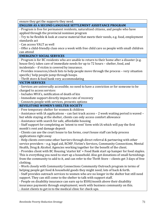ensure they get the supports they need.

## **ENGLISH AS A SECOND LANGUAGE SETTLEMENT ASSISTANCE PROGRAM**

- Program is free for permanent residents, naturalized citizens, and people who have applied through the provincial nominee program

- Try to be flexible & look at course material that meets their needs, e.g. food, employment standards act

- Can access VALT as well

- Offer a child-friendly class once a week with free child care so people with small children can attend

### **EMERGENCY SOCIAL SERVICES**

- Program is for BC residents who are unable to return to their home after a disaster (e.g. house fire); takes care of immediate needs for up to 72 hours – shelter, food, and incidentals – if victim is covered by insurance.

- Provides resources/check lists to help people move through the process – very situation specific/ help people jump through hoops.

- Thrift store & food bank very accommodating

### **VICTIM!SERVICES**

- Services are universally accessible; no need to have a conviction or for someone to be charged to access services

- Includes MVA's, notification of death of kin

- Immediate support directly impacts rate of recovery

- Connects people with services, presents options

## **REVELSTOKE WOMEN'S SHELTER SOCIETY**

- Free temporary shelter for women & children

- Assistance with IA applications – can fast track access – 2 week waiting period is waved – but while staving at the shelter, clients can only access comfort allowance

- Assistance with search for safe, affordable housing

- Staff support for completing an 'intent to rent' form with IA which will pay the first month's rent and damage deposit

- Clients can use the court house to fax forms, court house staff can help process applications right away

- Help clients overcome other barriers through direct referral & partnering with other service providers – e.g. legal aid, RCMP, Victim's Services, Community Connections, Mental Health, Drug & Alcohol. Agencies working together for the benefit of the client.

- Provides client with BC Housing 'starter kit' + Food Bank start up hamper for food staples. This is everything you need to start up a household. Also get donations of small furnishings from the community to add to it, and can refer to the Thrift Store – clients get 3 days of free clothing.

- Work closely with Community Connections Community Outreach program in terms of helping people get food & household goods they might need; lots of back & forth.

- Staff provides outreach services to women who are no longer in the shelter but still need support. They can still come to the shelter to talk with support staff.

- People on disability insurance can earn up to \$500/month above their disability

insurance payments through employment; work with business community on this.

- Assist clients to get in to the medical clinic for check ups.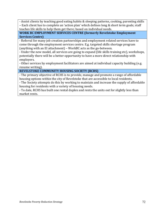- Assist clients by teaching good eating habits & sleeping patterns, cooking, parenting skills – Each client has to complete an 'action plan' which defines long & short term goals; staff teaches life skills to help them get there; based on individual needs.

## WORK BC EMPLOYMENT SERVICES CENTRE (formerly Revelstoke Employment **Services Centre)**

- Referral for many job creation partnerships and employment related services have to come through the employment services centre. E.g. targeted skills shortage program (anything with an EI attachment) – WorkBC acts as the go-between.

- Under the new model, all services are going to expand (life skills training etc), workshops, potentially there will be a better opportunity to have a more direct relationship with employers.

- Other services by employment facilitators are aimed at individual capacity building (e.g. resume writing).

# **REVELSTOKE COMMUNITY HOUSING SOCIETY (RCHS)**

- The primary objective of RCHS is to provide, manage and promote a range of affordable housing options within the city of Revelstoke that are accessible to local residents.

- The Society attempts do this by working to maintain and increase the supply of affordable housing for residents with a variety of housing needs.

- To date, RCHS has built one rental duplex and rents the units out for slightly less than market rents.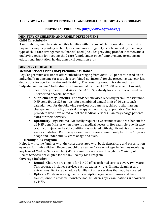### **APPENDIX E – A!GUIDE!TO!PROVINCIAL!AND!FEDERAL!SUBSIDIES!AND!PROGRAMS**

## **PROVINCIAL!PROGRAMS (http://www2.gov.bc.ca/)**

#### **MINISTRY OF CHILDREN AND FAMILY DEVELOPMENT**

#### **Child Care Subsidy**

A monthly payment to assist eligible families with the cost of child care. Monthly subsidy payments vary depending on family circumstances. Eligibility is determined by residency, type of child care arrangements, financial need (includes providing proof of income), and a qualifying reason for needing child care (employment or self-employment, attending an educational institution, having a medical condition etc.).

#### **MINISTRY OF HEALTH**

#### **Medical Services Plan (MSP) Premium Assistance**

Regular premium assistance offers subsidies ranging from 20 to 100 per cent, based on an individual's net income (or a couple's combined net income) for the preceding tax year, less deductions for age, family size and disability. The resulting amount is referred to as "adjusted net income". Individuals with an annual income of \$22,000 receive full subsidy.

- **Temporary Premium Assistance** A 100% subsidy for a short term based on unexpected financial hardship.
- **Supplementary Benefits** For MSP beneficiaries receiving premium assistance, MSP contributes \$23 per visit for a combined annual limit of 10 visits each calendar year for the following services: acupuncture, chiropractic, massage therapy, naturopathy, physical therapy and non-surgical podiatry. Service providers who have opted-out of the Medical Services Plan may charge patients extra for their services.
- **Optometry Eye Exams -** Medically required eye examinations are a benefit for all MSP beneficiaries when there is a medical necessity (for example, eye disease, trauma or injury, or health conditions associated with significant risk to the eyes, such as diabetes). Routine eye examinations are a benefit only for those 18 years of age and under and 65 years of age and over.

#### **BC!Healthy!Kids!Program!**

Helps low income families with the costs associated with basic dental care and prescription eyewear for their children. Dependent children under 19 years of age, in families receiving any level of Medical Services Plan (MSP) premium assistance through the Ministry of Health Services, are eligible for the BC Healthy Kids Program.

## **Coverage includes:**

- **Dental** Children are eligible for \$1400 of basic dental services every two years. This coverage includes services such as exams, x-rays, fillings, cleanings and  $\overline{\phantom{a}}$ extractions. Dentists can advise families of other services that may be covered.
- **Optical** Children are eligible for prescription eyeglasses (lenses and basic frames) once in a twelve-month period. Children's eye examinations are covered by MSP.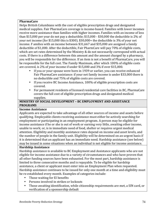## **PharmaCare!**

Helps British Columbians with the cost of eligible prescription drugs and designated medical supplies. Fair PharmaCare coverage is income-based. Families with lower incomes receive more assistance than families with higher incomes. Families with an income of less than \$15,000 per year do not pay a deductible;  $$15,000 - $30,000$  the deductible is 2% of your net income (for \$15,000 this is \$300).  $$30,000+$  the deductible is 3% of your net income. F amilies with an income between \$31,667 and \$35,000 are assigned a family deductible of \$1,000. After the deductible, Fair PharmCare will pay 70% of eligible costs, which are set rates determined by the Ministry  $&$  do not necessarily correspond with actual costs. If there is a difference between this amount and the amount charged by a pharmacy, you will be responsible for the difference. If an item is not a benefit of PharmaCare, you will be responsible for the full cost. The Family Maximum, after which 100% of eligible costs are covered, is  $2\%$  of your income if under \$15,000 and  $3\%$  if over \$15,000.

- If you or your spouse were born in 1939 or earlier, you can receive enhanced Fair PharmaCare assistance: if your net family income is under \$33,000 there is no deductible and 75% of eligible costs are covered.
- If you receive BC Income Assistance,  $100\%$  of eligible prescription costs are covered.
- For permanent residents of licensed residential care facilities in BC, PharmaCare covers the full cost of eligible prescription drugs and designated medical supplies.

### **MINISTRY OF SOCIAL DEVELOPMENT – BC EMPLOYMENT AND ASSISTANCE PROGRAMS**

## **Income!Assistance**

Applicants are expected to take advantage of all other sources of income and assets before qualifying. Employable clients receiving assistance must either be actively searching for employment or participating in an employment program. A person may be eligible for income assistance if he or she is out of work or earning very little, awaiting other income, unable to work; or, is in immediate need of food, shelter or requires urgent medical attention. Eligibility and monthly assistance rates depend on income and asset levels, and the number of people in the family unit. Eligibility will be determined on an urgent basis if it is determined that an applicant has an immediate need. Hardship assistance (see below) may be issued in some situations when an individual is not eligible for income assistance.

#### **Hardship!Assistance**

Hardship assistance is available to BC Employment and Assistance applicants who are not eligible for income assistance due to a variety of circumstances and who have proven that all other funding sources have been exhausted. For the most part, hardship assistance is limited to three consecutive months and is repayable. To be eligible for hardship assistance, a client or applicant must enter into an Employment Plan when requested. Hardship assistance continues to be issued for only one month at a time and eligibility must be re-established every month. Examples of categories include:

- Those waiting for EI benefits
- Persons involved in strikes or lockouts
- Those awaiting identification, while citizenship requirements are met, a SIN card, or verification of a sponsorship default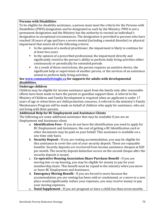## **Persons with Disabilities**

To be eligible for disability assistance, a person must meet the criteria for the Persons with Disabilities (PWD) designation and be designated as such by the Ministry. PWD is not a permanent designation and the Ministry has the authority to rescind an individual's designation in exceptional circumstances. The designation is provided to persons who have reached 18 years of age and have a severe mental (including a mental disorder) or physical impairment that meets all of the following criteria:

- In the opinion of a medical practitioner, the impairment is likely to continue for at least two years
- In the opinion of a prescribed professional, the impairment directly and significantly restricts the person's ability to perform daily living activities either continuously or periodically for extended periods
- As a result of those restrictions, the person requires an assistive device, the significant help or supervision of another person, or the services of an assistance animal to perform daily living activities.

## **See www.communitylivingbc.ca** for supports for adults with developmental **disabilities.**

# **Underage children**

Children may be eligible for income assistance apart from the family only after reasonable efforts have been made to have the parent or guardian support them. A referral to the Ministry of Children and Family Development is required when an applicant is under 17 years of age or when there are child protection concerns. A referral to the ministry's Family Maintenance Program will be made on behalf of children who apply for assistance, who are not living with their parents.

## Additional Help for BC Employment and Assistance Clients

The following are some additional assistance that may be available if you are an Employment and Assistance client.

- a. **Identification Fees** If you do not have the identification you need to apply for BC Employment and Assistance, the cost of getting a BC Identification card or other documents may be paid on your behalf. This assistance is available on a one-time only basis.
- b. **Security Deposit -** If you are renting accommodation, you may be eligible for this assistance to cover the cost of your security deposit. These are repayable benefits. Security deposits are recovered from income assistance cheques at \$20 per month. The security deposit deduction occurs on the second cheque after the security deposit is issued.
- **c. Co-operative Housing Association Share Purchase Benefit If you are** moving into co-op housing, you may be eligible for money to pay for your membership share. This benefit must be repaid to the ministry when you move or leave BC Employment and Assistance.
- d. **Emergency Moving Benefit -** If you are forced to move because the accommodation you are renting has been sold or condemned, or a move to a new place would significantly reduce your expenses, you may receive money to pay your moving expenses.
- e. **Natal Supplement -** If you are pregnant or have a child less than seven months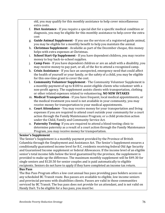old, you may qualify for this monthly assistance to help cover miscellaneous extra costs.

- f. **Diet Assistance** If you require a special diet for a specific medical condition or diagnosis, you may be eligible for this monthly assistance to help cover the extra cost
- g. **Guide Animal Supplement** If you use the services of a registered guide animal, you may be eligible for a monthly benefit to help you maintain the animal.
- h. **Christmas Supplement** Available as part of the December cheque, this money helps with extra expenses at Christmas.
- i. **School Start-Up Supplement** If you have dependent children, you may receive money to buy back-to-school supplies.
- j. **Camp Fees** If you have dependent children or are an adult with a disability, you may receive money to pay part, or all, of the fee to attend a recognized camp.
- k. **Crisis Assistance** If you face an unexpected, emergency need that could affect the health of yourself or your family, or the safety of a child, you may be eligible for this one-time grant to cover the cost.
- l. **Community Volunteer Supplement** The Community Volunteer Supplement is a monthly payment of up to \$100 to assist eligible clients who volunteer with a non-profit agency. The supplement assists clients with transportation, clothing or other related expenses related to volunteering. **NO NEW INTAKES**
- m. **Medical Transportation** If you have frequent, local medical appointments, or the medical treatment you need is not available in your community, you may receive money for transportation to your medical appointments.
- n. **Court Attendance** You may receive money for your transportation and living expenses if you are required to attend court outside your community for a court action through the Family Maintenance Program; or a child protection action under the Child, Family and Community Service Act.
- o. **Paternity Testing** If you are required to attend a blood-testing clinic to determine paternity as a result of a court action through the Family Maintenance Program, you may receive money for transportation.

# **Senior's Supplement**

The Senior's Supplement is a monthly payment provided by the Province of British Columbia through the Employment and Assistance Act. The Senior's Supplement ensures a conditionally guaranteed income level for B.C. residents receiving federal Old Age Security and Guaranteed Income supplement or federal Allowances. If the income level of an eligible senior's total income falls below the level guaranteed by the province, the supplement is provided to make up the difference. The maximum monthly supplement will be \$49.30 for single seniors and \$120.50 for senior couples and is paid automatically to eligible recipients. Seniors do not have to apply if they have completed an income tax return.

# **Bus!Pass!**

The Bus Pass Program offers a low cost annual bus pass providing pass holders access on any scheduled BC Transit route. Bus passes are available to eligible, low income seniors and provincial persons with disabilities clients. Passes are valid in those communities serviced by BC Transit. The bus pass does not provide for an attendant, and is not valid on Handy Dart. To be eligible for a bus pass, you must be: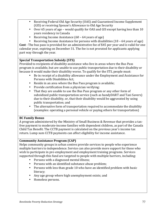- Receiving Federal Old Age Security (OAS) and Guaranteed Income Supplement (GIS) or receiving Spouse's Allowance to Old Age Security
- Over 65 years of age would qualify for OAS and GIS except having less than  $10$ years residency in Canada
- Receiving Income Assistance  $(60 64$  years of age)
- Receiving Income Assistance for persons with disabilities  $(18 64$  years of age)

**Cost** - The bus pass is provided for an administrative fee of \$45 per year and is valid for one calendar year, expiring on December 31. The fee is not prorated for applicants applying part way through the year.

# **Special Transportation Subsidy (STS)**

Provided to recipients of disability assistance who live in areas where the Bus Pass program is available, but are unable to use public transportation due to their disability or because it would make their disability worse. To qualify for the STS, people must:

- Be in receipt of a disability allowance under the Employment and Assistance for Persons with Disabilities Act:
- Reside in an area where the Bus Pass program is available;
- Provide certification from a physician verifying:
- That they are unable to use the Bus Pass program or any other form of subsidized public transportation service (such as handyDART and Taxi Savers) due to their disability, or, that their disability would be aggravated by using public transportation; and
- The alternative form of transportation required to accommodate the disability (examples: operating a personal vehicle or paying others for transportation)

# **BC Family Bonus**

A program administered by the Ministry of Small Business & Revenue that provides a taxfree payment to moderate-income families with dependent children, as part of the Canada Child Tax Benefit. The CCTB payment is calculated on the previous year's income tax return. Lump sum CCTB payments can affect eligibility for income assistance.

# **Community Assistance Program (CAP)**

Helps community groups in urban centres provide services to people who experience multiple barriers to independence. Service can also provide more support for those who wish to participate in pre-employment and employment training programs. Services supported through this fund are targeted to people with multiple barriers, including:

- Persons with a diagnosed mental illness;
- Persons with an identified substance abuse problem;
- Persons with less than grade 10 who have an identified problem with basic literacy;
- Any age group where high unemployment exists; and
- Homeless persons.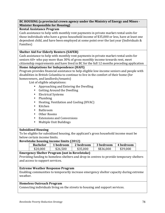### **BC HOUSING (a provincial crown agency under the Ministry of Energy and Mines -Minister Responsible for Housing)**

## **Rental Assistance Program**

Cash assistance to help with monthly rent payments in private market rental units for those individuals who have a gross household income of \$35,000 or less, have at least one dependent child, and have been employed at some point over the last year (Individuals  $&$ Families)

## **Shelter Aid For Elderly Renters (SAFER)**

Cash assistance to help with monthly rent payments in private market rental units for seniors  $60+$  who pay more than  $30\%$  of gross monthly income towards rent, meet citizenship requirements and have lived in BC for the full 12 months preceding application

## **Home Adaptations for Independence (HAFI)**

Program provides financial assistance to help eligible low-income seniors and people with disabilities in British Columbia to continue to live in the comfort of their home (for homeowners, and landlords/tenants)

List of eligible adaptations:

- Approaching and Entering the Dwelling
- Getting Around the Dwelling
- Electrical Systems
- Plumbing
- Heating, Ventilation and Cooling (HVAC)
- Kitchen
- Bathroom
- Other Rooms
- Extensions and Conversions
- Multiple Unit Buildings

#### **Subsidized!Housing!**

To be eligible for subsidized housing, the applicant's gross household income must be below certain income limits.

#### **Revelstoke housing income limits (2012)**

| Bachelor | 1 bedroom | 2 bedroom | 3 bedroom  | 4 bedroom |
|----------|-----------|-----------|------------|-----------|
| \$20,000 | \$26,500  | \$35,000  | \$\$36,000 | \$39,000  |

#### **Emergency Shelter Program (not in Revelstoke)**

Providing funding to homeless shelters and drop-in centres to provide temporary shelters and access to support services.

## **Extreme Weather Response Program**

Enabling communities to temporarily increase emergency shelter capacity during extreme weather.

#### **Homeless Outreach Program**

Connecting individuals living on the streets to housing and support services.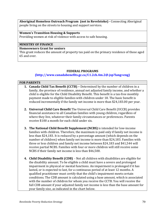Aboriginal Homeless Outreach Program (not in Revelstoke) - Connecting Aboriginal people living on the streets to housing and support services.

**Women's Transition Housing & Supports** 

Providing women at risk of violence with access to safe housing.

## **MINISTRY OF FINANCE**

#### **Homeowners Grant for seniors**

This grant reduces the amount of property tax paid on the primary residence of those aged 65 and over.

## **FEDERAL!PROGRAMS**

## **(http://www.canadabenefits.gc.ca/f.1.2ch.4m.2@.jsp?lang=eng)**

### **FOR!PARENTS**

- **1. Canada Child Tax Benefit (CCTB) –** Determined by the number of children in a family, the province of residence, annual net adjusted family income, and whether a child is eligible for the Child Disability Benefit. This benefit is a tax-free monthly payment made to eligible families with children under 18. The basic benefit is reduced incrementally if the family net income is more than \$24,183.00 per year.
- **2. Universal Child Care Benefit** The Universal Child Care Benefit (UCCB) provides financial assistance to all Canadian families with young children, regardless of where they live, whatever their family circumstances or preferences. Parents receive \$100 a month for each child under six.
- **3. The National Child Benefit Supplement (NCBS)** is intended for low-income families with children. Therefore, the maximum is paid only if family net income is less than \$24,183. It is reduced by a percentage amount (which depends on the number of children) when family net income is more than \$24,183. Families with three or less children and family net income between \$24,183 and \$41,544 will receive partial NCBS. Families with four or more children will still receive some NCBS if their family net income is less than \$46,500.
- **4. Child Disability Benefit (CDB)** Not all children with disabilities are eligible for the disability amount. To be eligible a child must have a severe and prolonged impairment in physical or mental functions. An impairment is prolonged if it has lasted, or is expected to last, for a continuous period of at least 12 months. A qualified practitioner must certify that the child's impairment meets certain conditions. The CDB amount is calculated using a base amount, which is associated with the number of children for whom you receive the CCTB. You will receive the full CDB amount if your adjusted family net income is less than the base amount for your family size, as indicated in the chart below.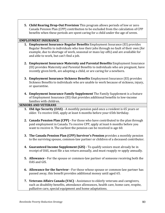**5. Child Rearing Drop-Out Provision** This program allows periods of low or zero Canada Pension Plan (CPP) contribution to be excluded from the calculation of CPP benefits when these periods are spent caring for a child under the age of seven.

#### **EMPLOYMENT INSURANCE**

- **1. Employment Insurance Regular Benefits** Employment Insurance (EI) provides Regular Benefits to individuals who lose their jobs through no fault of their own (for example, due to shortage of work, seasonal or mass lay-offs) and are available for and able to work, but can't find a job.
- **2. Employment Insurance Maternity and Parental Benefits** Employment Insurance (EI) provides Maternity and Parental Benefits to individuals who are pregnant, have recently given birth, are adopting a child, or are caring for a newborn.
- **3. Employment Insurance Sickness Benefits** Employment Insurance (EI) provides Sickness Benefits to individuals who are unable to work because of sickness, injury, or quarantine.
- **4. Employment Insurance Family Supplement** The Family Supplement is a feature of Employment Insurance (EI) that provides additional benefits to low-income families with children.

#### **SENIORS AND VETERANS**

- **1. Old Age Security (OAS) -** A monthly pension paid once a resident is 65 years or older. To receive OAS, apply at least 6 months before your 65th birthday.
- **2. Canada Pension Plan (CPP)** For those who have contributed to the plan through paid employment in Canada. To receive CPP, apply at least 6 months before you want to receive it. The earliest the pension can be received is age 60.
- **3. The Canada Pension Plan (CPP) Survivor's Pension** provides a monthly pension to the surviving spouse, common-law partner or children of a deceased contributor.
- **4. Guaranteed Income Supplement (GIS) To qualify seniors must already be in** receipt of OAS, must file a tax return annually, and must reapply re-apply annually.
- **5. Allowance For the spouse or common-law partner of someone receiving both the** OAS and GIS.
- **6. Allowance for the Survivor** For those whose spouse or common-law partner has passed away, this benefit provides additional money until aged 65.
- **7. Veterans Affairs Canada (VAC) Assistance to elderly veterans and caregivers,** such as disability benefits, attendance allowances, health care, home care, respite, palliative care, special equipment and home adaptations.